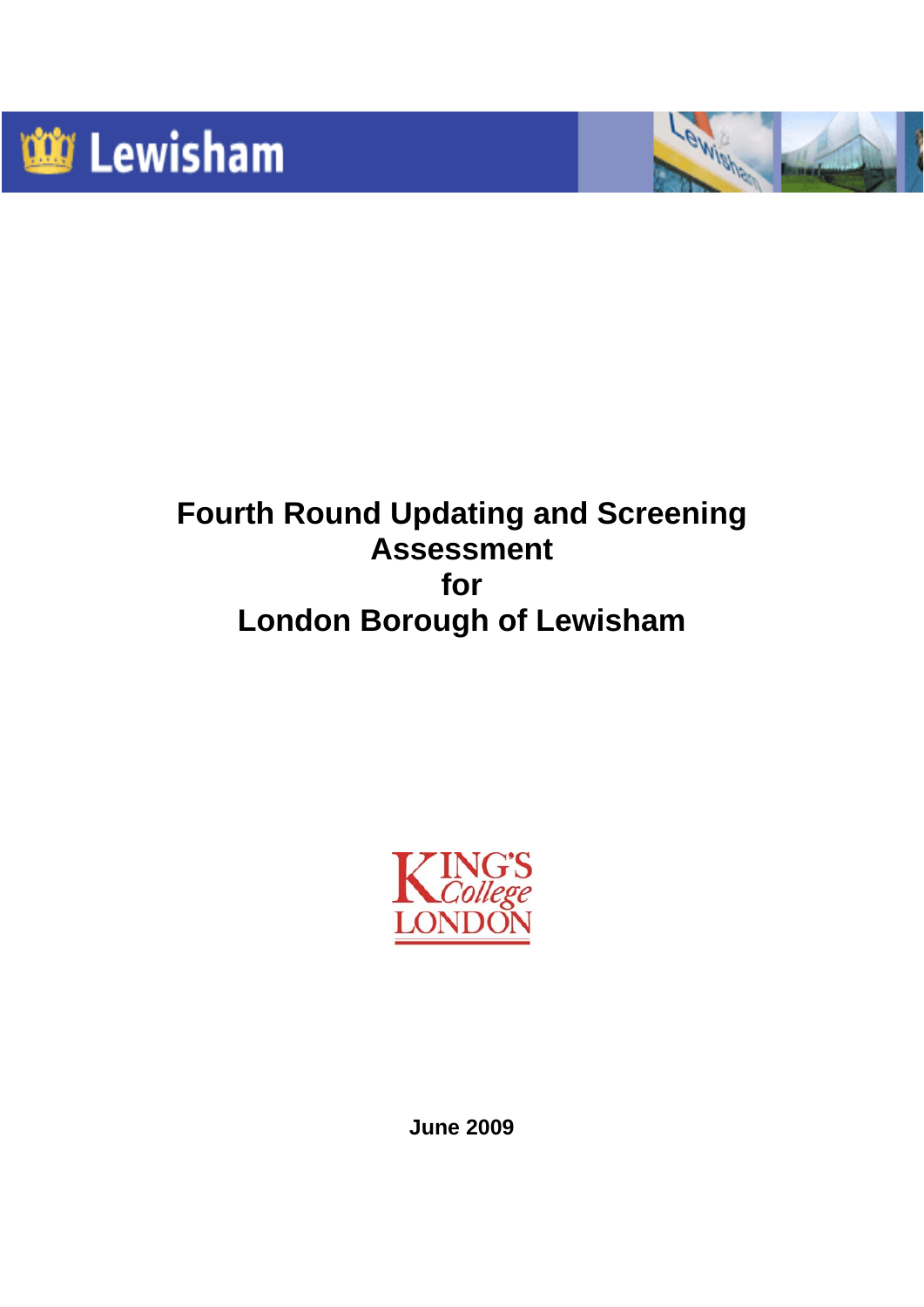



# **Fourth Round Updating and Screening Assessment for London Borough of Lewisham**



**June 2009**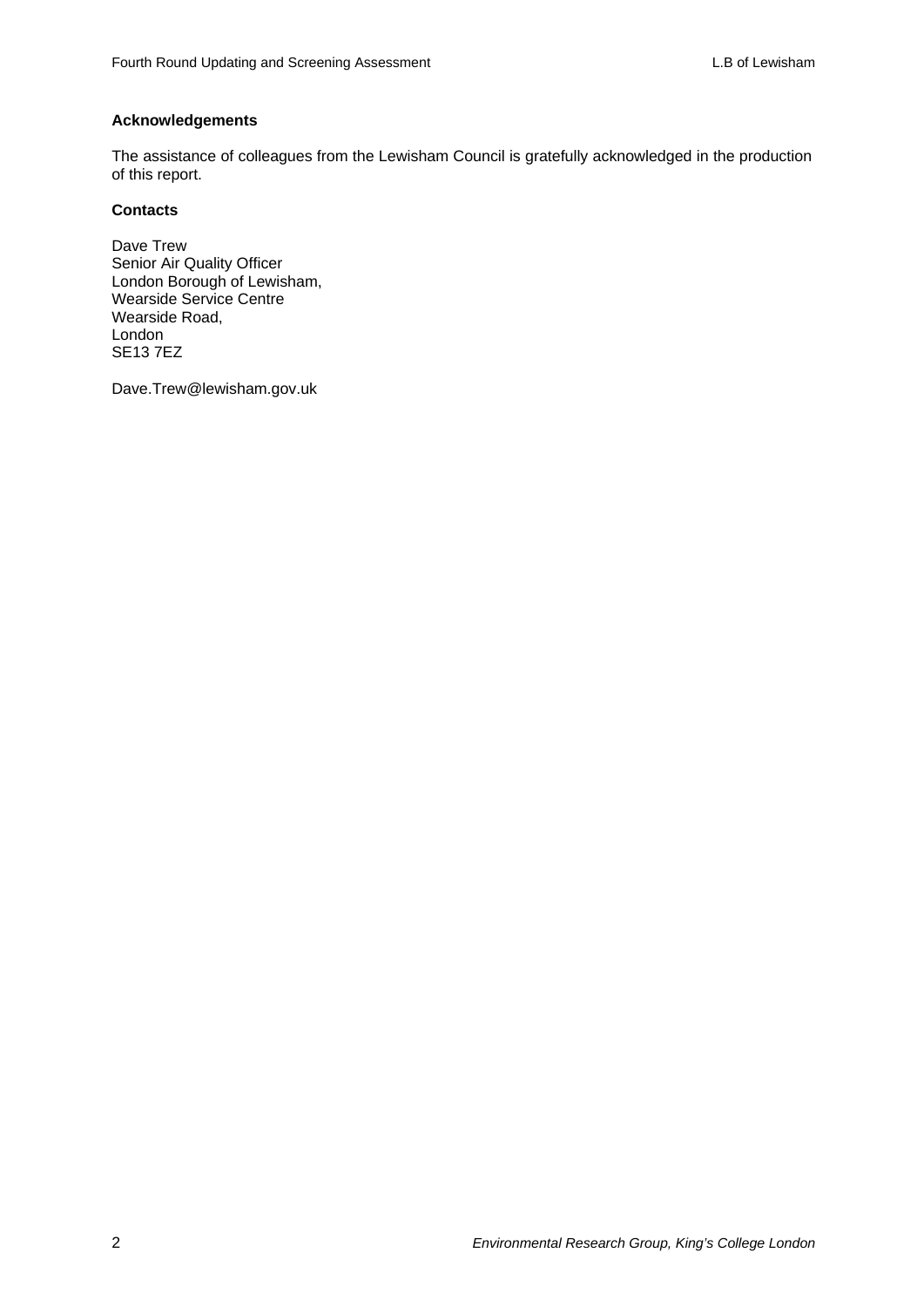#### **Acknowledgements**

The assistance of colleagues from the Lewisham Council is gratefully acknowledged in the production of this report.

#### **Contacts**

Dave Trew Senior Air Quality Officer London Borough of Lewisham, Wearside Service Centre Wearside Road, London SE13 7EZ

Dave.Trew@lewisham.gov.uk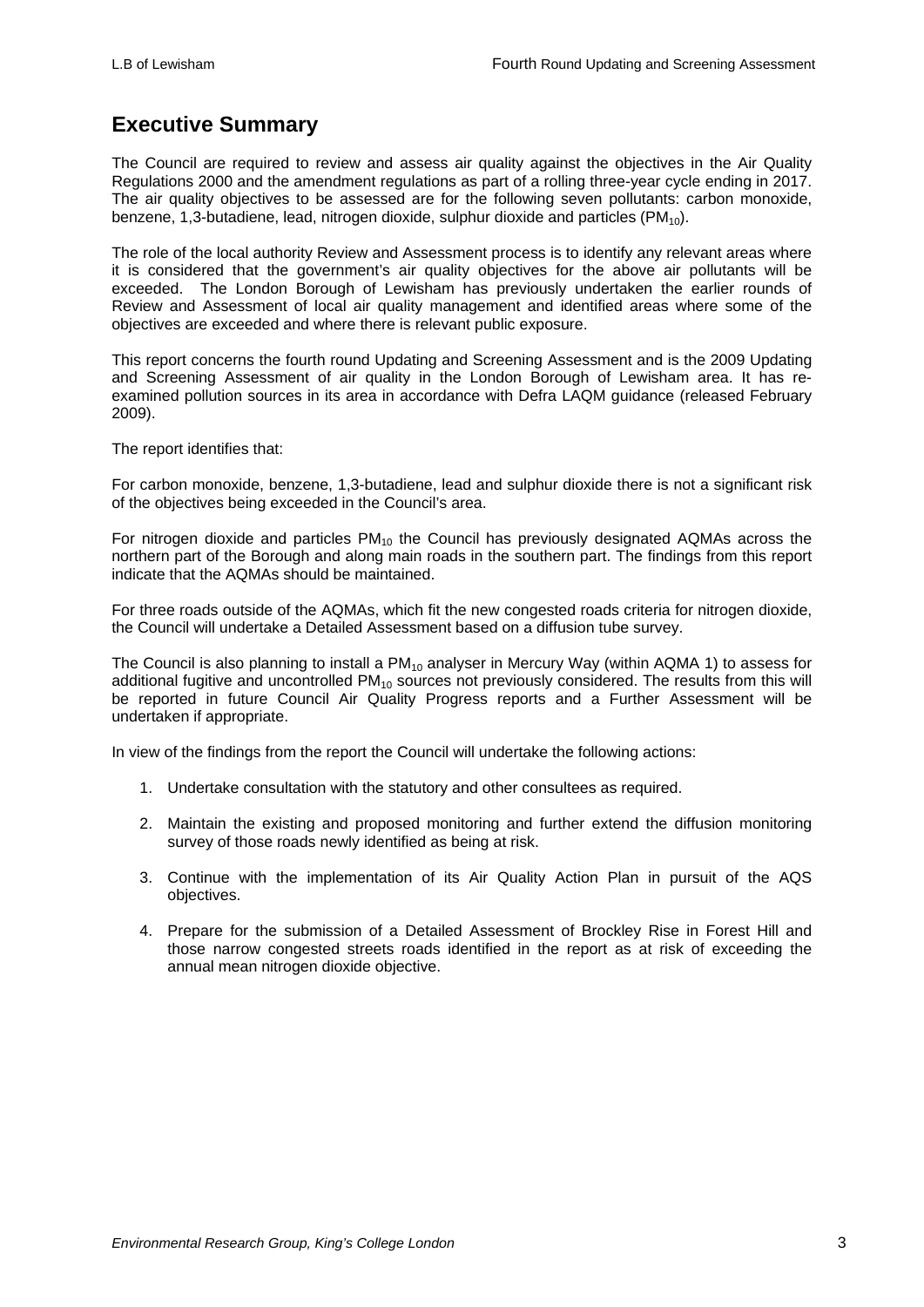# **Executive Summary**

The Council are required to review and assess air quality against the objectives in the Air Quality Regulations 2000 and the amendment regulations as part of a rolling three-year cycle ending in 2017. The air quality objectives to be assessed are for the following seven pollutants: carbon monoxide, benzene, 1,3-butadiene, lead, nitrogen dioxide, sulphur dioxide and particles (PM<sub>10</sub>).

 exceeded. The London Borough of Lewisham has previously undertaken the earlier rounds of The role of the local authority Review and Assessment process is to identify any relevant areas where it is considered that the government's air quality objectives for the above air pollutants will be Review and Assessment of local air quality management and identified areas where some of the objectives are exceeded and where there is relevant public exposure.

This report concerns the fourth round Updating and Screening Assessment and is the 2009 Updating and Screening Assessment of air quality in the London Borough of Lewisham area. It has reexamined pollution sources in its area in accordance with Defra LAQM guidance (released February 2009).

The report identifies that:

For carbon monoxide, benzene, 1,3-butadiene, lead and sulphur dioxide there is not a significant risk of the objectives being exceeded in the Council's area.

For nitrogen dioxide and particles  $PM_{10}$  the Council has previously designated AQMAs across the northern part of the Borough and along main roads in the southern part. The findings from this report indicate that the AQMAs should be maintained.

For three roads outside of the AQMAs, which fit the new congested roads criteria for nitrogen dioxide, the Council will undertake a Detailed Assessment based on a diffusion tube survey.

The Council is also planning to install a  $PM_{10}$  analyser in Mercury Way (within AQMA 1) to assess for additional fugitive and uncontrolled  $PM_{10}$  sources not previously considered. The results from this will be reported in future Council Air Quality Progress reports and a Further Assessment will be undertaken if appropriate.

In view of the findings from the report the Council will undertake the following actions:

- 1. Undertake consultation with the statutory and other consultees as required.
- 2. Maintain the existing and proposed monitoring and further extend the diffusion monitoring survey of those roads newly identified as being at risk.
- 3. Continue with the implementation of its Air Quality Action Plan in pursuit of the AQS objectives.
- 4. Prepare for the submission of a Detailed Assessment of Brockley Rise in Forest Hill and those narrow congested streets roads identified in the report as at risk of exceeding the annual mean nitrogen dioxide objective.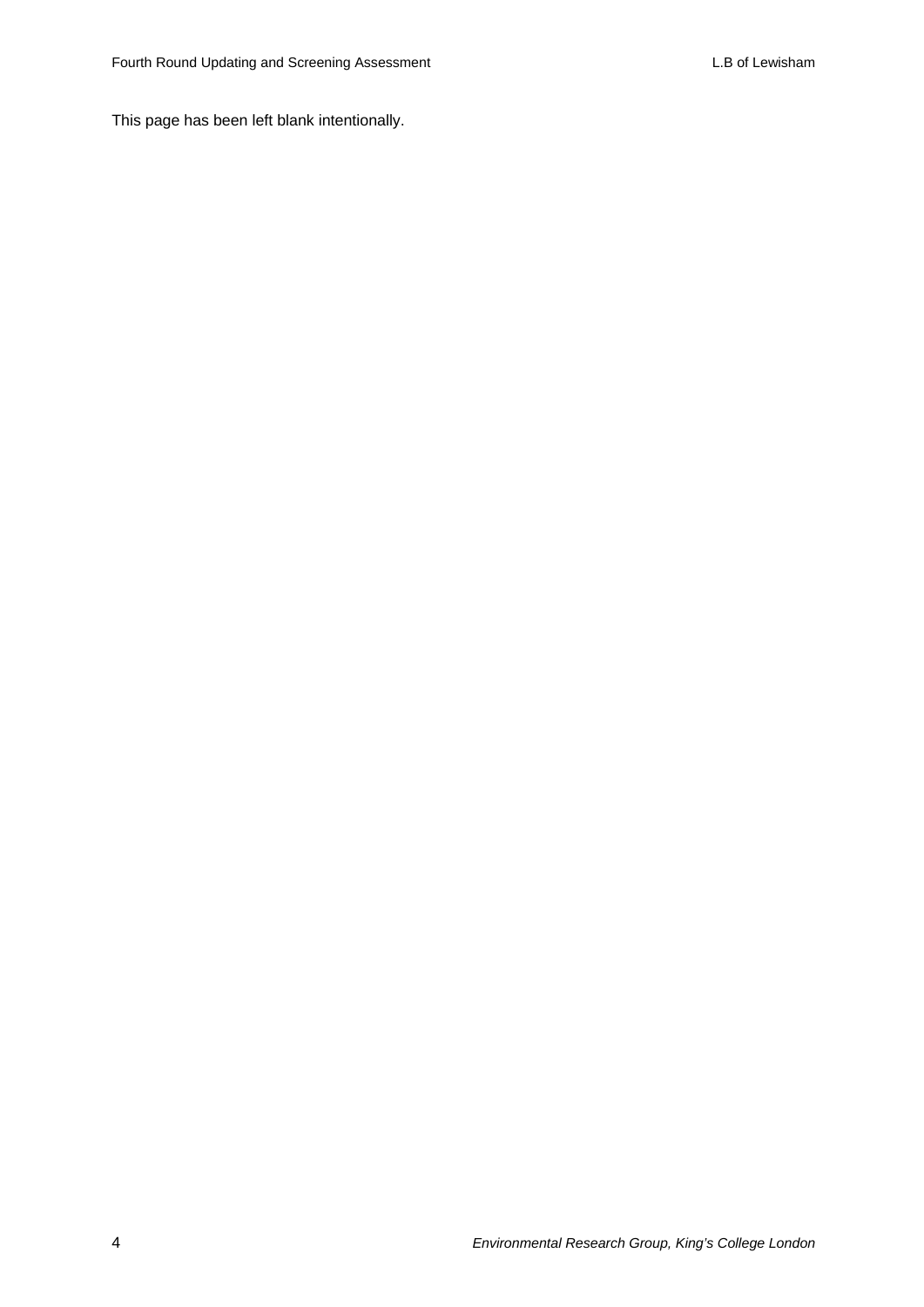This page has been left blank intentionally.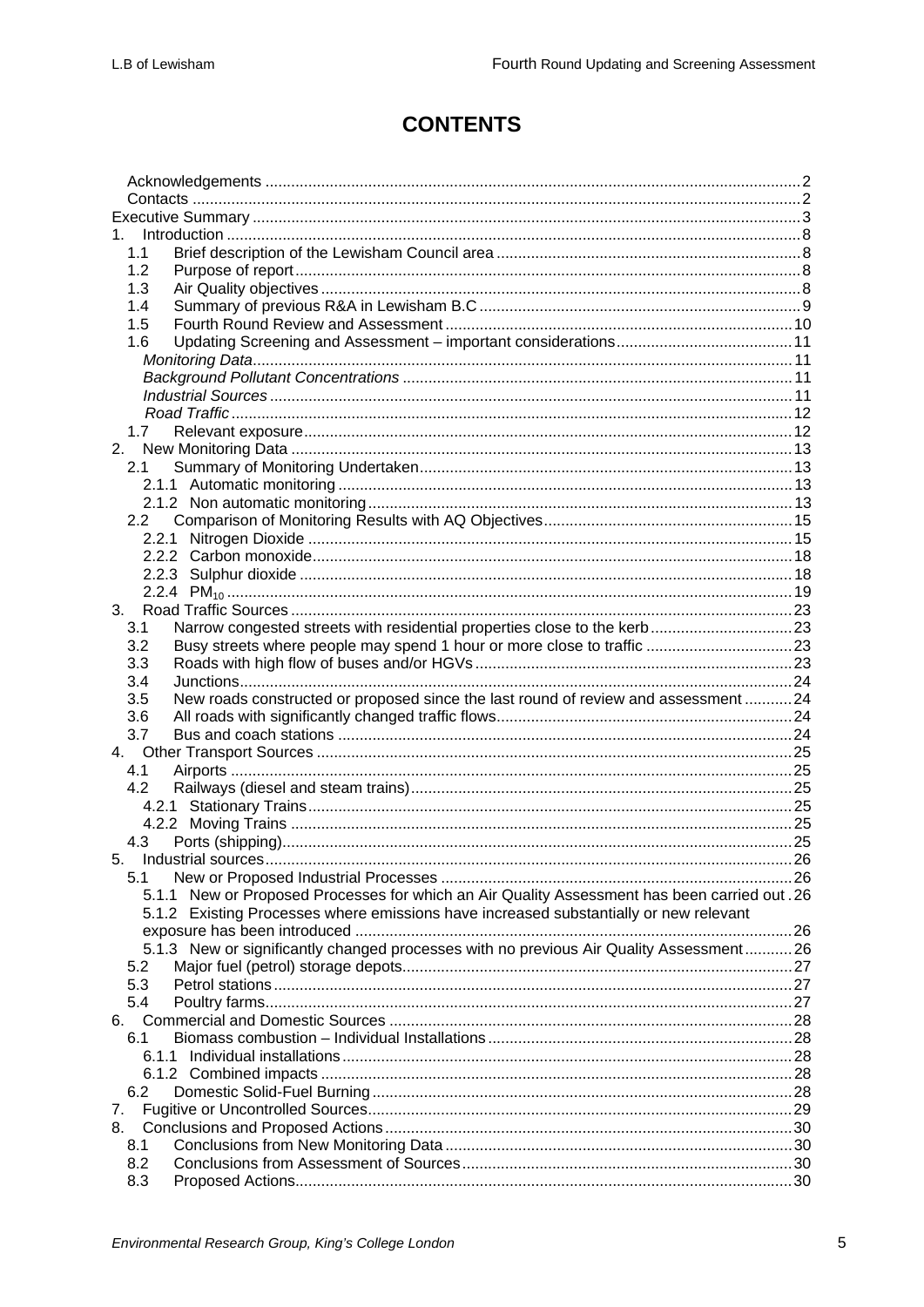# **CONTENTS**

| 1.  |                                                                                               |  |
|-----|-----------------------------------------------------------------------------------------------|--|
| 1.1 |                                                                                               |  |
| 1.2 |                                                                                               |  |
| 1.3 |                                                                                               |  |
| 1.4 |                                                                                               |  |
| 1.5 |                                                                                               |  |
| 1.6 |                                                                                               |  |
|     |                                                                                               |  |
|     |                                                                                               |  |
|     |                                                                                               |  |
|     |                                                                                               |  |
| 1.7 |                                                                                               |  |
|     |                                                                                               |  |
| 2.1 |                                                                                               |  |
|     |                                                                                               |  |
|     |                                                                                               |  |
| 2.2 |                                                                                               |  |
|     |                                                                                               |  |
|     |                                                                                               |  |
|     |                                                                                               |  |
|     |                                                                                               |  |
| 3.  |                                                                                               |  |
| 3.1 | Narrow congested streets with residential properties close to the kerb23                      |  |
| 3.2 | Busy streets where people may spend 1 hour or more close to traffic 23                        |  |
| 3.3 |                                                                                               |  |
| 3.4 |                                                                                               |  |
| 3.5 | New roads constructed or proposed since the last round of review and assessment 24            |  |
| 3.6 |                                                                                               |  |
| 3.7 |                                                                                               |  |
|     |                                                                                               |  |
| 4.1 |                                                                                               |  |
| 4.2 |                                                                                               |  |
|     |                                                                                               |  |
|     |                                                                                               |  |
| 4.3 |                                                                                               |  |
|     |                                                                                               |  |
| 5.1 |                                                                                               |  |
|     | 5.1.1 New or Proposed Processes for which an Air Quality Assessment has been carried out . 26 |  |
|     | 5.1.2 Existing Processes where emissions have increased substantially or new relevant         |  |
|     |                                                                                               |  |
|     | 5.1.3 New or significantly changed processes with no previous Air Quality Assessment 26       |  |
| 5.2 |                                                                                               |  |
| 5.3 |                                                                                               |  |
| 5.4 |                                                                                               |  |
| 6.  |                                                                                               |  |
| 6.1 |                                                                                               |  |
|     |                                                                                               |  |
|     |                                                                                               |  |
| 6.2 |                                                                                               |  |
| 7.  |                                                                                               |  |
| 8.  |                                                                                               |  |
| 8.1 |                                                                                               |  |
| 8.2 |                                                                                               |  |
| 8.3 |                                                                                               |  |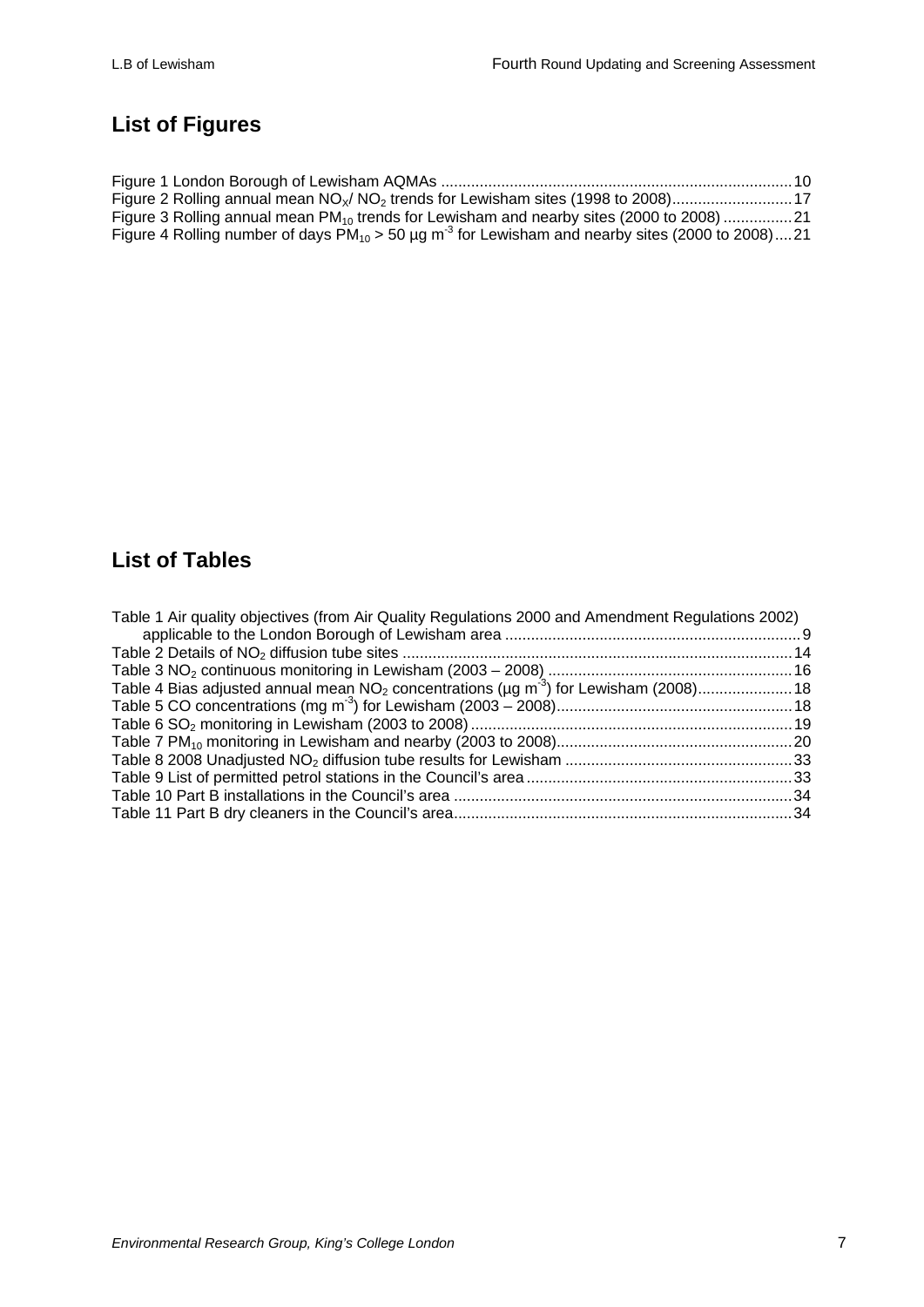# **List of Figures**

| Figure 3 Rolling annual mean PM <sub>10</sub> trends for Lewisham and nearby sites (2000 to 2008) 21                |  |
|---------------------------------------------------------------------------------------------------------------------|--|
| Figure 4 Rolling number of days $PM_{10} > 50 \mu g$ m <sup>-3</sup> for Lewisham and nearby sites (2000 to 2008)21 |  |

# **List of Tables**

| Table 1 Air quality objectives (from Air Quality Regulations 2000 and Amendment Regulations 2002)        |  |
|----------------------------------------------------------------------------------------------------------|--|
|                                                                                                          |  |
|                                                                                                          |  |
|                                                                                                          |  |
| Table 4 Bias adjusted annual mean $NO2$ concentrations ( $\mu$ g m <sup>-3</sup> ) for Lewisham (2008)18 |  |
|                                                                                                          |  |
|                                                                                                          |  |
|                                                                                                          |  |
|                                                                                                          |  |
|                                                                                                          |  |
|                                                                                                          |  |
|                                                                                                          |  |
|                                                                                                          |  |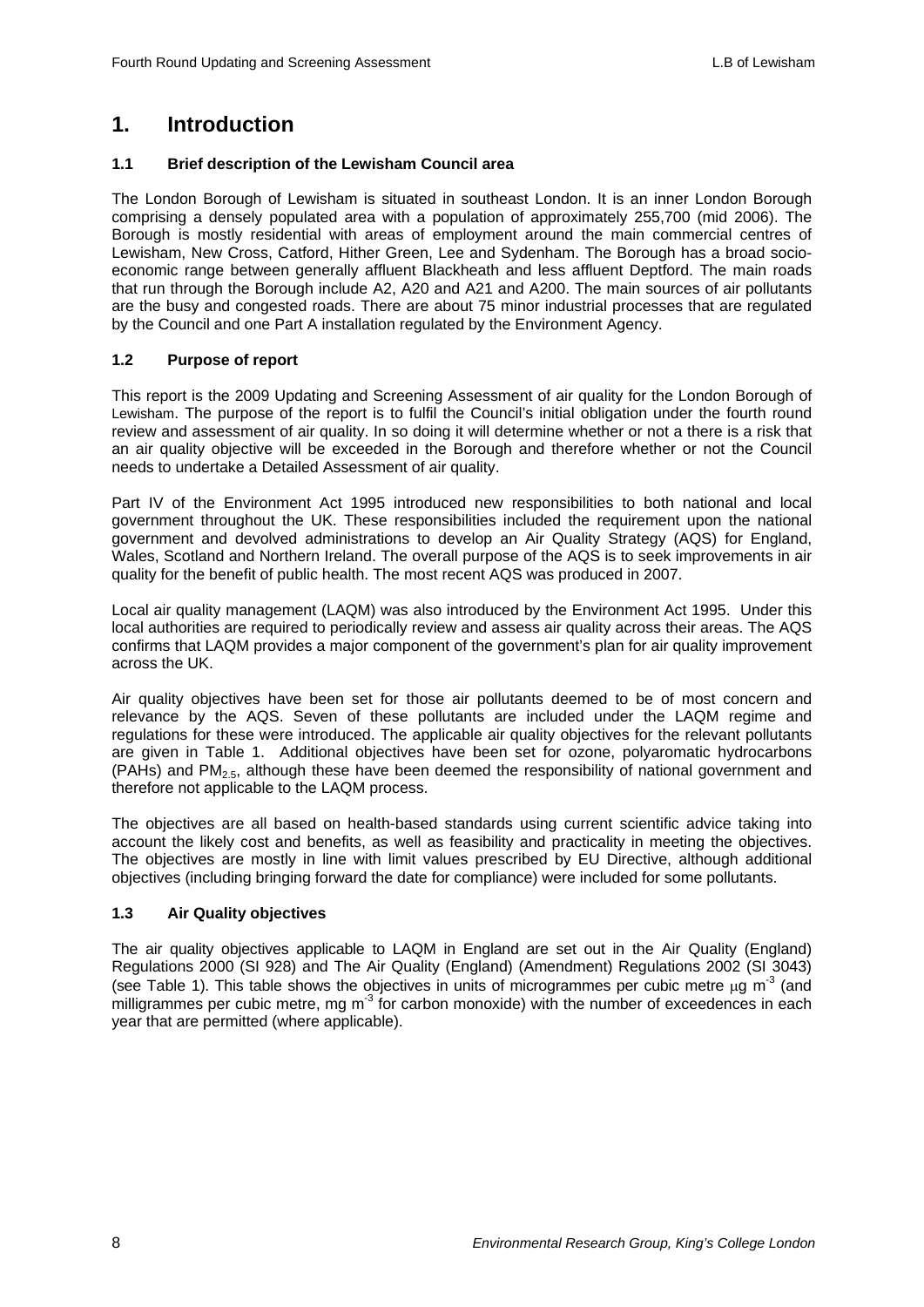### **1. Introduction**

#### **1.1 Brief description of the Lewisham Council area**

The London Borough of Lewisham is situated in southeast London. It is an inner London Borough comprising a densely populated area with a population of approximately 255,700 (mid 2006). The Borough is mostly residential with areas of employment around the main commercial centres of Lewisham, New Cross, Catford, Hither Green, Lee and Sydenham. The Borough has a broad socioeconomic range between generally affluent Blackheath and less affluent Deptford. The main roads that run through the Borough include A2, A20 and A21 and A200. The main sources of air pollutants are the busy and congested roads. There are about 75 minor industrial processes that are regulated by the Council and one Part A installation regulated by the Environment Agency.

#### **1.2 Purpose of report**

This report is the 2009 Updating and Screening Assessment of air quality for the London Borough of Lewisham. The purpose of the report is to fulfil the Council's initial obligation under the fourth round review and assessment of air quality. In so doing it will determine whether or not a there is a risk that an air quality objective will be exceeded in the Borough and therefore whether or not the Council needs to undertake a Detailed Assessment of air quality.

Part IV of the Environment Act 1995 introduced new responsibilities to both national and local government throughout the UK. These responsibilities included the requirement upon the national government and devolved administrations to develop an Air Quality Strategy (AQS) for England, Wales, Scotland and Northern Ireland. The overall purpose of the AQS is to seek improvements in air quality for the benefit of public health. The most recent AQS was produced in 2007.

Local air quality management (LAQM) was also introduced by the Environment Act 1995. Under this local authorities are required to periodically review and assess air quality across their areas. The AQS confirms that LAQM provides a major component of the government's plan for air quality improvement across the UK.

Air quality objectives have been set for those air pollutants deemed to be of most concern and relevance by the AQS. Seven of these pollutants are included under the LAQM regime and regulations for these were introduced. The applicable air quality objectives for the relevant pollutants are given in Table 1. Additional objectives have been set for ozone, polyaromatic hydrocarbons (PAHs) and  $PM<sub>2.5</sub>$ , although these have been deemed the responsibility of national government and therefore not applicable to the LAQM process.

The objectives are all based on health-based standards using current scientific advice taking into account the likely cost and benefits, as well as feasibility and practicality in meeting the objectives. The objectives are mostly in line with limit values prescribed by EU Directive, although additional objectives (including bringing forward the date for compliance) were included for some pollutants.

#### **1.3 Air Quality objectives**

 The air quality objectives applicable to LAQM in England are set out in the Air Quality (England) Regulations 2000 (SI 928) and The Air Quality (England) (Amendment) Regulations 2002 (SI 3043) (see Table 1). This table shows the objectives in units of microgrammes per cubic metre  $\mu$ g m<sup>-3</sup> (and milligrammes per cubic metre, mg  $m<sup>3</sup>$  for carbon monoxide) with the number of exceedences in each year that are permitted (where applicable).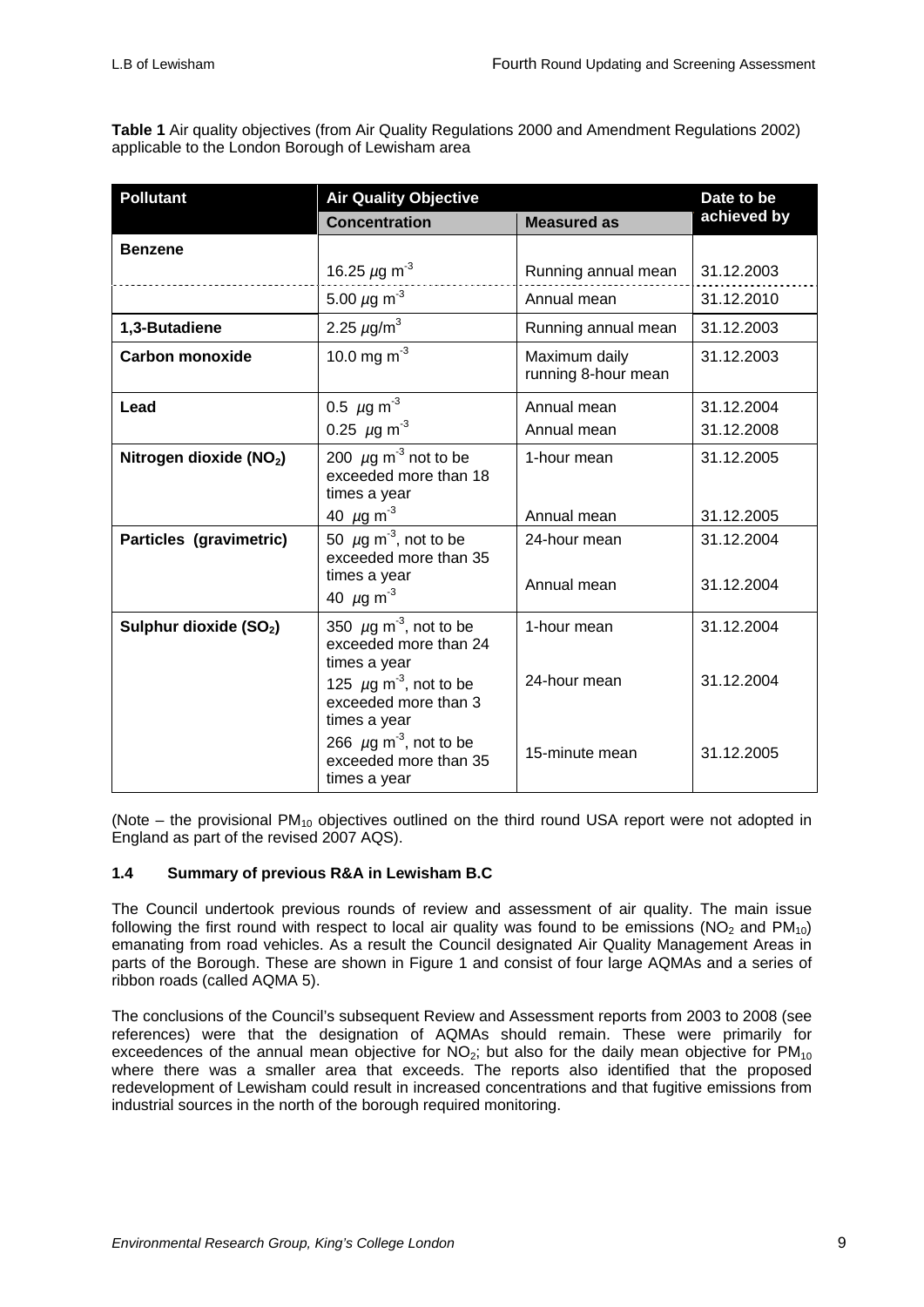**Table 1** Air quality objectives (from Air Quality Regulations 2000 and Amendment Regulations 2002) applicable to the London Borough of Lewisham area

| <b>Pollutant</b>                   | <b>Air Quality Objective</b>                                                     | Date to be                           |             |
|------------------------------------|----------------------------------------------------------------------------------|--------------------------------------|-------------|
|                                    | <b>Concentration</b>                                                             | <b>Measured as</b>                   | achieved by |
| <b>Benzene</b>                     |                                                                                  |                                      |             |
|                                    | 16.25 $\mu$ g m <sup>-3</sup>                                                    | Running annual mean                  | 31.12.2003  |
|                                    | 5.00 $\mu$ g m <sup>-3</sup>                                                     | Annual mean                          | 31.12.2010  |
| 1,3-Butadiene                      | 2.25 $\mu$ g/m <sup>3</sup>                                                      | Running annual mean                  | 31.12.2003  |
| <b>Carbon monoxide</b>             | 10.0 mg $m^{-3}$                                                                 | Maximum daily<br>running 8-hour mean | 31.12.2003  |
| Lead                               | 0.5 $\mu$ g m <sup>-3</sup>                                                      | Annual mean                          | 31.12.2004  |
|                                    | 0.25 $\mu$ g m <sup>-3</sup>                                                     | Annual mean                          | 31.12.2008  |
| Nitrogen dioxide (NO2)             | 200 $\mu$ g m <sup>-3</sup> not to be<br>exceeded more than 18<br>times a year   | 1-hour mean                          | 31.12.2005  |
|                                    | 40 $\mu$ g m <sup>-3</sup>                                                       | Annual mean                          | 31.12.2005  |
| Particles (gravimetric)            | 50 $\mu$ g m <sup>-3</sup> , not to be<br>exceeded more than 35<br>times a year  | 24-hour mean                         | 31.12.2004  |
|                                    | 40 $\mu$ g m <sup>-3</sup>                                                       | Annual mean                          | 31.12.2004  |
| Sulphur dioxide (SO <sub>2</sub> ) | 350 $\mu$ g m <sup>-3</sup> , not to be<br>exceeded more than 24<br>times a year | 1-hour mean                          | 31.12.2004  |
|                                    | 125 $\mu$ g m <sup>-3</sup> , not to be<br>exceeded more than 3<br>times a year  | 24-hour mean                         | 31.12.2004  |
|                                    | 266 $\mu$ g m <sup>-3</sup> , not to be<br>exceeded more than 35<br>times a year | 15-minute mean                       | 31.12.2005  |

(Note – the provisional  $PM_{10}$  objectives outlined on the third round USA report were not adopted in England as part of the revised 2007 AQS).

#### **1.4 Summary of previous R&A in Lewisham B.C**

The Council undertook previous rounds of review and assessment of air quality. The main issue following the first round with respect to local air quality was found to be emissions ( $NO<sub>2</sub>$  and  $PM<sub>10</sub>$ ) emanating from road vehicles. As a result the Council designated Air Quality Management Areas in parts of the Borough. These are shown in Figure 1 and consist of four large AQMAs and a series of ribbon roads (called AQMA 5).

The conclusions of the Council's subsequent Review and Assessment reports from 2003 to 2008 (see references) were that the designation of AQMAs should remain. These were primarily for exceedences of the annual mean objective for  $NO<sub>2</sub>$ ; but also for the daily mean objective for  $PM<sub>10</sub>$ where there was a smaller area that exceeds. The reports also identified that the proposed redevelopment of Lewisham could result in increased concentrations and that fugitive emissions from industrial sources in the north of the borough required monitoring.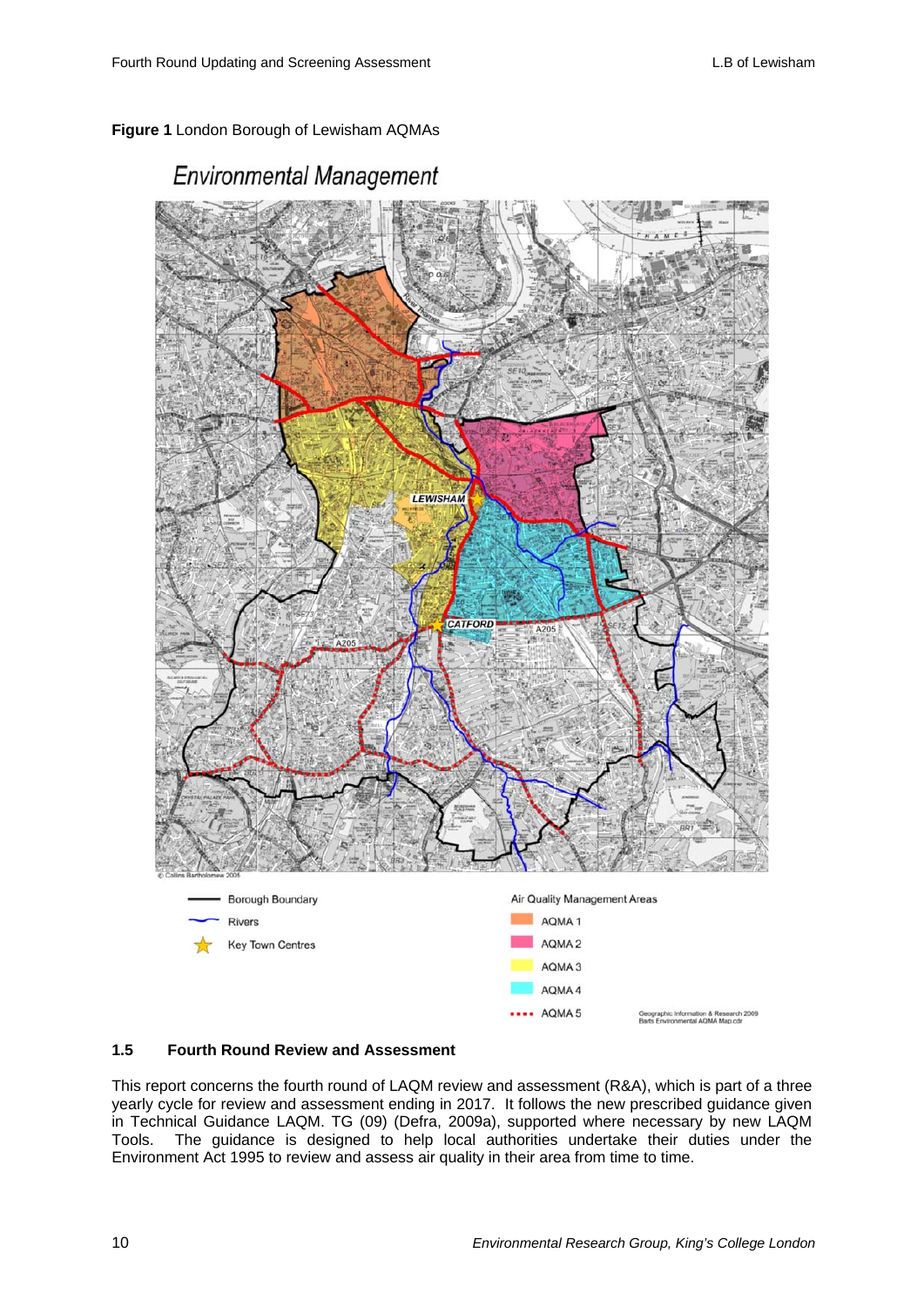#### **Figure 1** London Borough of Lewisham AQMAs



# **Environmental Management**

#### **1.5 Fourth Round Review and Assessment**

This report concerns the fourth round of LAQM review and assessment (R&A), which is part of a three yearly cycle for review and assessment ending in 2017. It follows the new prescribed guidance given in Technical Guidance LAQM. TG (09) (Defra, 2009a), supported where necessary by new LAQM Tools. The guidance is designed to help local authorities undertake their duties under the Environment Act 1995 to review and assess air quality in their area from time to time.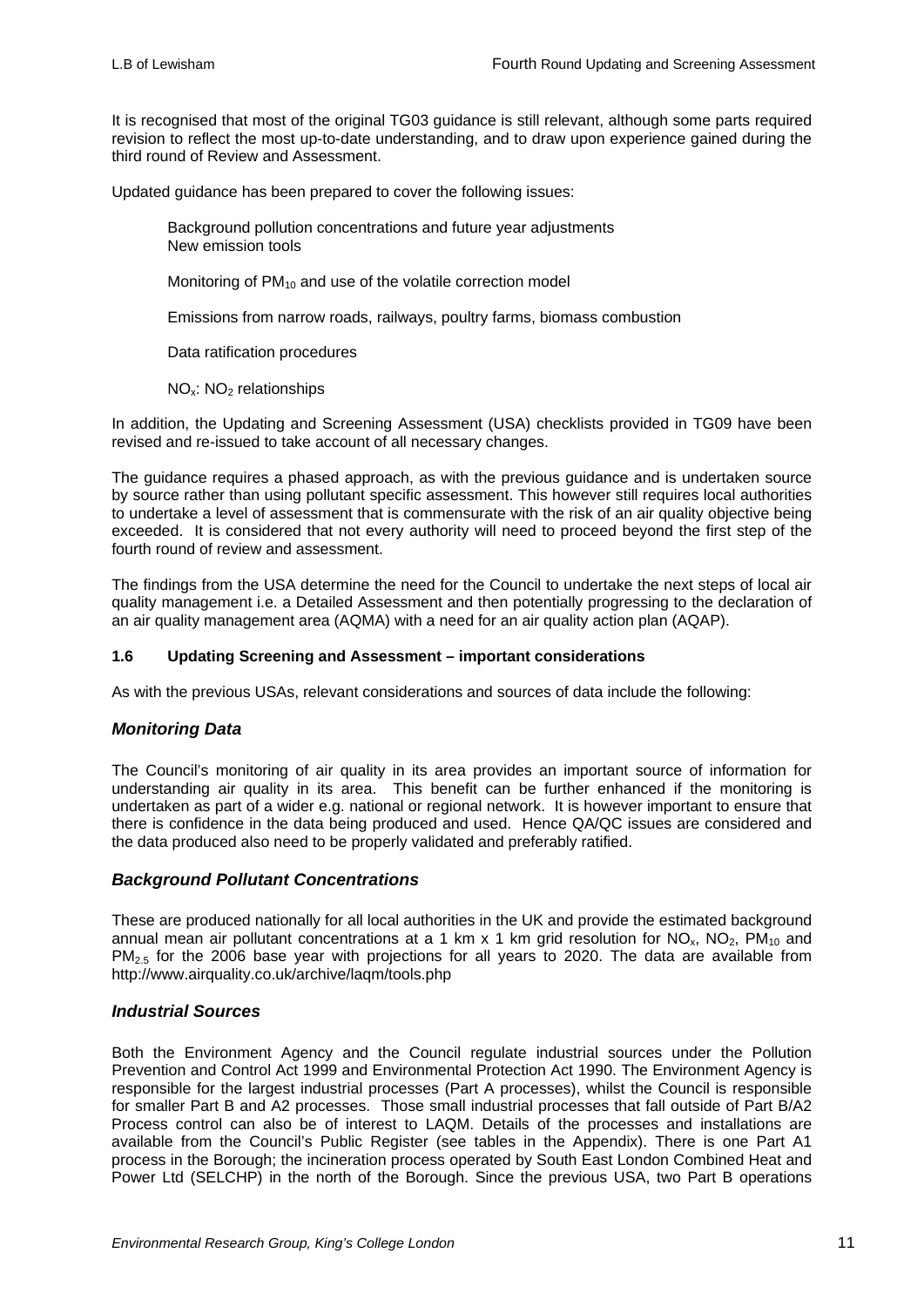It is recognised that most of the original TG03 guidance is still relevant, although some parts required revision to reflect the most up-to-date understanding, and to draw upon experience gained during the third round of Review and Assessment.

Updated guidance has been prepared to cover the following issues:

Background pollution concentrations and future year adjustments New emission tools

Monitoring of PM<sub>10</sub> and use of the volatile correction model

Emissions from narrow roads, railways, poultry farms, biomass combustion

Data ratification procedures

NO<sub>x</sub>: NO<sub>2</sub> relationships

In addition, the Updating and Screening Assessment (USA) checklists provided in TG09 have been revised and re-issued to take account of all necessary changes.

The guidance requires a phased approach, as with the previous guidance and is undertaken source by source rather than using pollutant specific assessment. This however still requires local authorities to undertake a level of assessment that is commensurate with the risk of an air quality objective being exceeded. It is considered that not every authority will need to proceed beyond the first step of the fourth round of review and assessment.

The findings from the USA determine the need for the Council to undertake the next steps of local air quality management i.e. a Detailed Assessment and then potentially progressing to the declaration of an air quality management area (AQMA) with a need for an air quality action plan (AQAP).

#### **1.6 Updating Screening and Assessment – important considerations**

As with the previous USAs, relevant considerations and sources of data include the following:

#### *Monitoring Data*

The Council's monitoring of air quality in its area provides an important source of information for understanding air quality in its area. This benefit can be further enhanced if the monitoring is undertaken as part of a wider e.g. national or regional network. It is however important to ensure that there is confidence in the data being produced and used. Hence QA/QC issues are considered and the data produced also need to be properly validated and preferably ratified.

#### *Background Pollutant Concentrations*

These are produced nationally for all local authorities in the UK and provide the estimated background annual mean air pollutant concentrations at a 1 km x 1 km grid resolution for  $NO<sub>x</sub>$ ,  $NO<sub>2</sub>$ ,  $PM<sub>10</sub>$  and PM<sub>2.5</sub> for the 2006 base year with projections for all years to 2020. The data are available from http://www.airquality.co.uk/archive/laqm/tools.php

#### *Industrial Sources*

Both the Environment Agency and the Council regulate industrial sources under the Pollution Prevention and Control Act 1999 and Environmental Protection Act 1990. The Environment Agency is responsible for the largest industrial processes (Part A processes), whilst the Council is responsible for smaller Part B and A2 processes. Those small industrial processes that fall outside of Part B/A2 Process control can also be of interest to LAQM. Details of the processes and installations are available from the Council's Public Register (see tables in the Appendix). There is one Part A1 process in the Borough; the incineration process operated by South East London Combined Heat and Power Ltd (SELCHP) in the north of the Borough. Since the previous USA, two Part B operations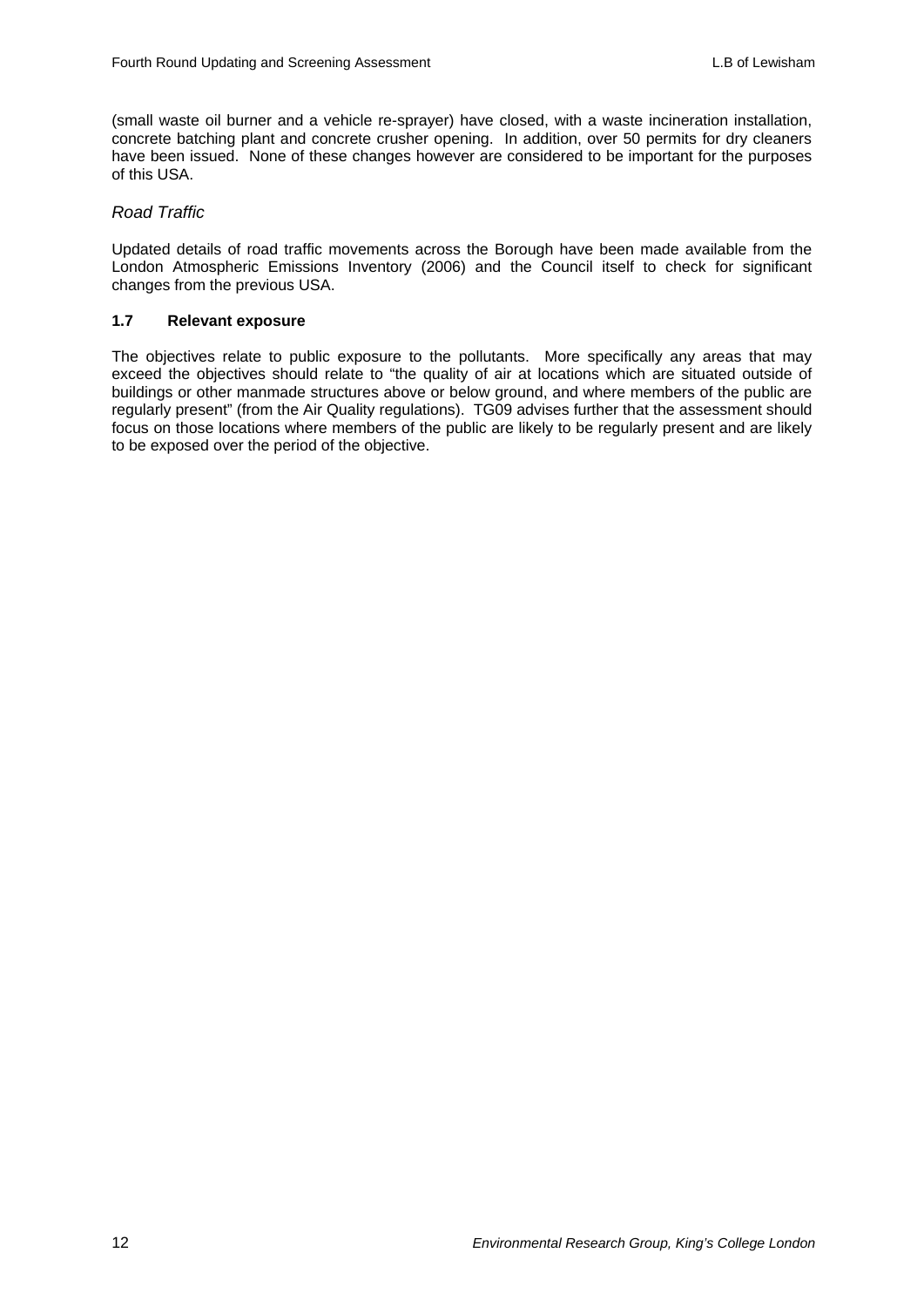concrete batching plant and concrete crusher opening. In addition, over 50 permits for dry cleaners (small waste oil burner and a vehicle re-sprayer) have closed, with a waste incineration installation, have been issued. None of these changes however are considered to be important for the purposes of this USA.

#### *Road Traffic*

Updated details of road traffic movements across the Borough have been made available from the London Atmospheric Emissions Inventory (2006) and the Council itself to check for significant changes from the previous USA.

#### **1.7 Relevant exposure**

The objectives relate to public exposure to the pollutants. More specifically any areas that may exceed the objectives should relate to "the quality of air at locations which are situated outside of buildings or other manmade structures above or below ground, and where members of the public are regularly present" (from the Air Quality regulations). TG09 advises further that the assessment should focus on those locations where members of the public are likely to be regularly present and are likely to be exposed over the period of the objective.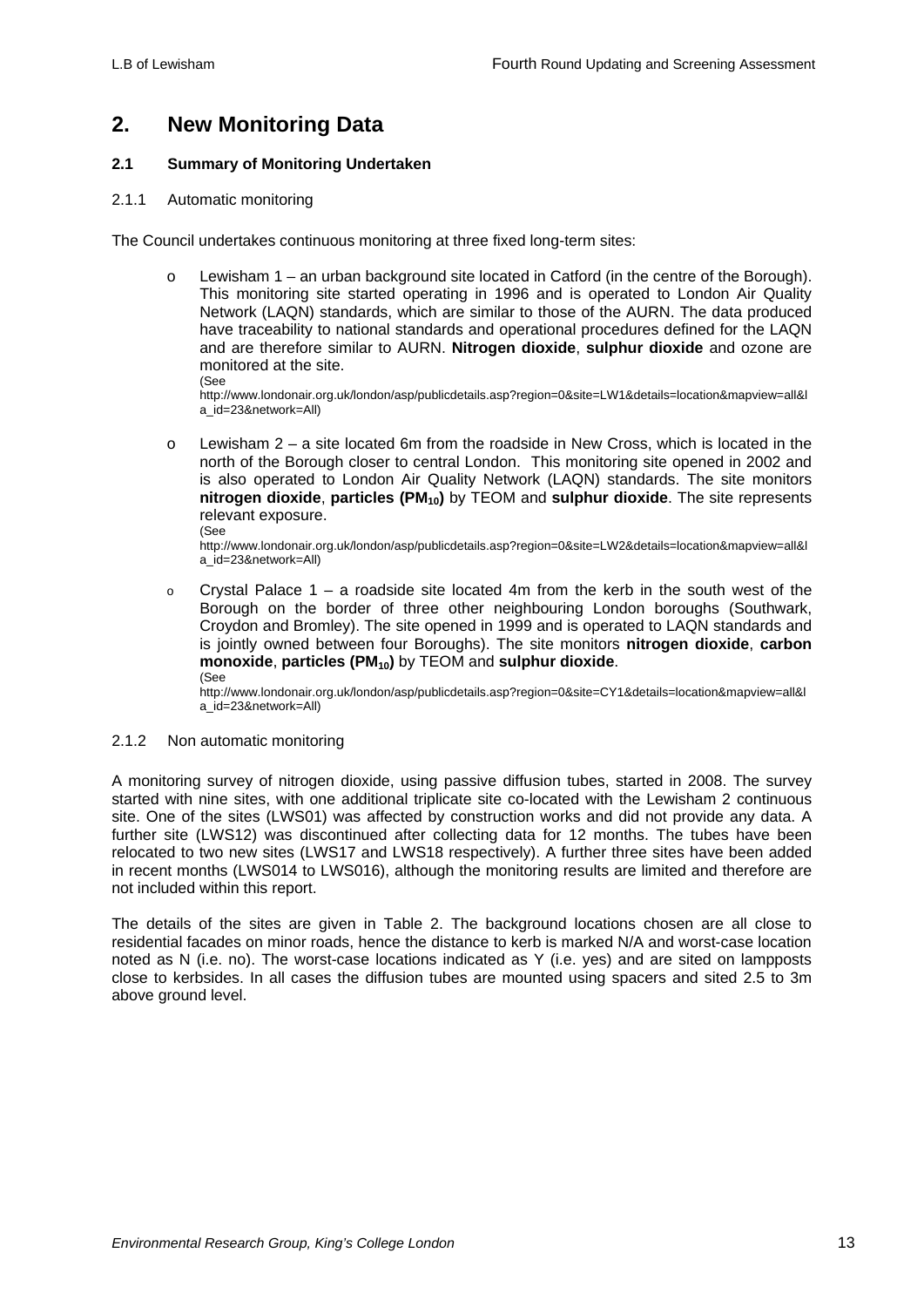### **2. New Monitoring Data**

#### **2.1 Summary of Monitoring Undertaken**

#### 2.1.1 Automatic monitoring

The Council undertakes continuous monitoring at three fixed long-term sites:

 $\circ$  Lewisham 1 – an urban background site located in Catford (in the centre of the Borough). This monitoring site started operating in 1996 and is operated to London Air Quality Network (LAQN) standards, which are similar to those of the AURN. The data produced have traceability to national standards and operational procedures defined for the LAQN and are therefore similar to AURN. **Nitrogen dioxide**, **sulphur dioxide** and ozone are monitored at the site. (See

http://www.londonair.org.uk/london/asp/publicdetails.asp?region=0&site=LW1&details=location&mapview=all&l a\_id=23&network=All)

 $\circ$  Lewisham 2 – a site located 6m from the roadside in New Cross, which is located in the north of the Borough closer to central London. This monitoring site opened in 2002 and is also operated to London Air Quality Network (LAQN) standards. The site monitors **nitrogen dioxide, particles (PM<sub>10</sub>)** by TEOM and **sulphur dioxide**. The site represents relevant exposure. (See

http://www.londonair.org.uk/london/asp/publicdetails.asp?region=0&site=LW2&details=location&mapview=all&l a\_id=23&network=All)

 Croydon and Bromley). The site opened in 1999 and is operated to LAQN standards and **monoxide**, **particles (PM10)** by TEOM and **sulphur dioxide**. (See  $\circ$  Crystal Palace 1 – a roadside site located 4m from the kerb in the south west of the Borough on the border of three other neighbouring London boroughs (Southwark, is jointly owned between four Boroughs). The site monitors **nitrogen dioxide**, **carbon** 

http://www.londonair.org.uk/london/asp/publicdetails.asp?region=0&site=CY1&details=location&mapview=all&l a\_id=23&network=All)

#### 2.1.2 Non automatic monitoring

A monitoring survey of nitrogen dioxide, using passive diffusion tubes, started in 2008. The survey started with nine sites, with one additional triplicate site co-located with the Lewisham 2 continuous site. One of the sites (LWS01) was affected by construction works and did not provide any data. A further site (LWS12) was discontinued after collecting data for 12 months. The tubes have been relocated to two new sites (LWS17 and LWS18 respectively). A further three sites have been added in recent months (LWS014 to LWS016), although the monitoring results are limited and therefore are not included within this report.

The details of the sites are given in Table 2. The background locations chosen are all close to residential facades on minor roads, hence the distance to kerb is marked N/A and worst-case location noted as N (i.e. no). The worst-case locations indicated as Y (i.e. yes) and are sited on lampposts close to kerbsides. In all cases the diffusion tubes are mounted using spacers and sited 2.5 to 3m above ground level.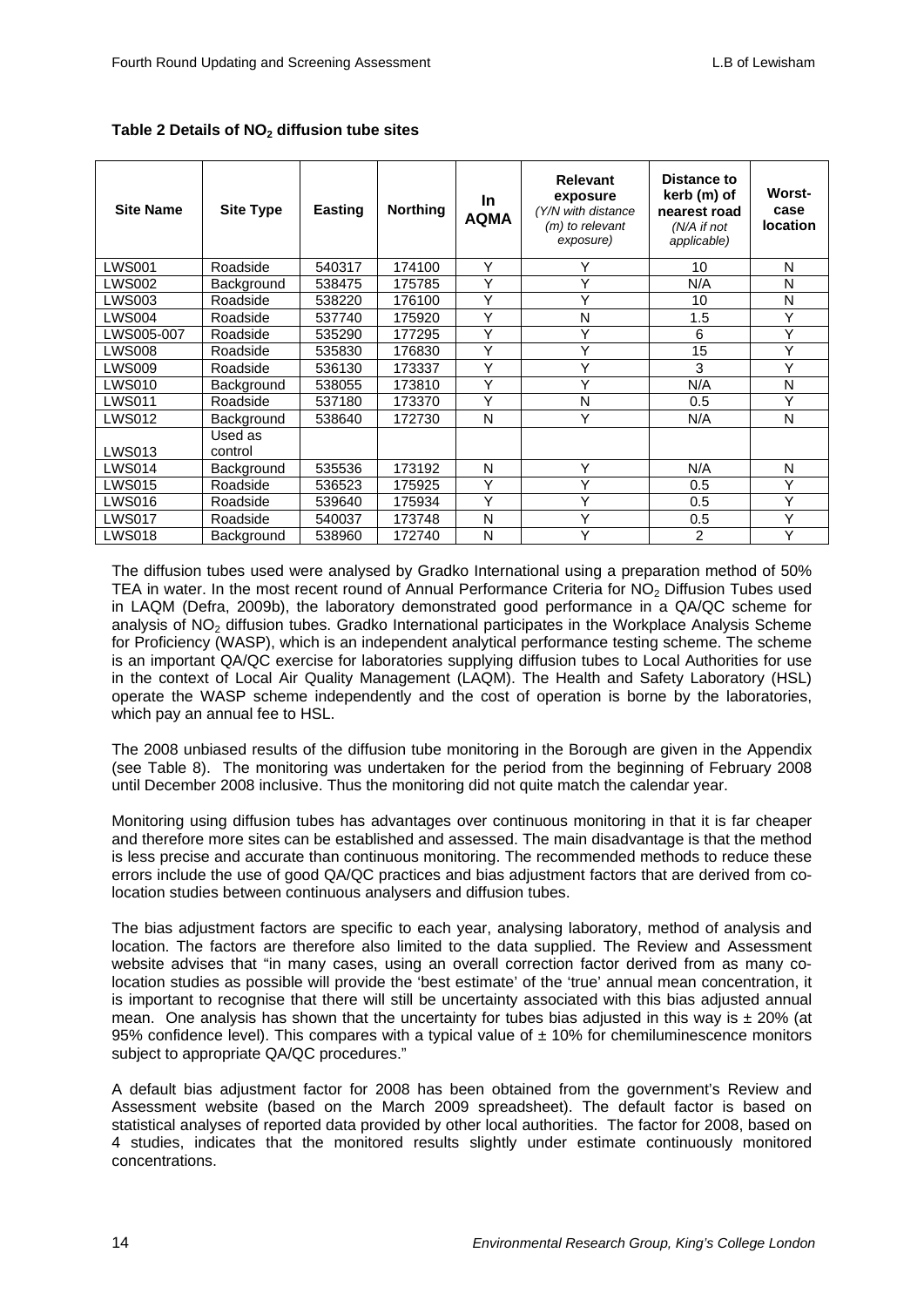| <b>Site Name</b> | <b>Site Type</b>   | <b>Easting</b> | <b>Northing</b> | In.<br><b>AQMA</b> | <b>Relevant</b><br>exposure<br>(Y/N with distance<br>(m) to relevant<br>exposure) | Distance to<br>kerb (m) of<br>nearest road<br>(N/A if not<br>applicable) | <b>Worst-</b><br>case<br><b>location</b> |
|------------------|--------------------|----------------|-----------------|--------------------|-----------------------------------------------------------------------------------|--------------------------------------------------------------------------|------------------------------------------|
| <b>LWS001</b>    | Roadside           | 540317         | 174100          | Y                  |                                                                                   | 10                                                                       | N                                        |
| <b>LWS002</b>    | Background         | 538475         | 175785          | Y                  | v                                                                                 | N/A                                                                      | N                                        |
| <b>LWS003</b>    | Roadside           | 538220         | 176100          | Y                  | v                                                                                 | 10                                                                       | N                                        |
| <b>LWS004</b>    | Roadside           | 537740         | 175920          | Y                  | N                                                                                 | 1.5                                                                      | Υ                                        |
| LWS005-007       | Roadside           | 535290         | 177295          | Y                  | v                                                                                 | 6                                                                        | Υ                                        |
| <b>LWS008</b>    | Roadside           | 535830         | 176830          | Y                  | ν                                                                                 | 15                                                                       | Y                                        |
| <b>LWS009</b>    | Roadside           | 536130         | 173337          | Υ                  | Υ                                                                                 | 3                                                                        | Y                                        |
| <b>LWS010</b>    | Background         | 538055         | 173810          | Υ                  | v                                                                                 | N/A                                                                      | N                                        |
| <b>LWS011</b>    | Roadside           | 537180         | 173370          | Y                  | N                                                                                 | 0.5                                                                      | Υ                                        |
| <b>LWS012</b>    | Background         | 538640         | 172730          | N                  | Υ                                                                                 | N/A                                                                      | N                                        |
| <b>LWS013</b>    | Used as<br>control |                |                 |                    |                                                                                   |                                                                          |                                          |
| <b>LWS014</b>    | Background         | 535536         | 173192          | N                  | Υ                                                                                 | N/A                                                                      | N                                        |
| <b>LWS015</b>    | Roadside           | 536523         | 175925          | Y                  | Υ                                                                                 | 0.5                                                                      | Y                                        |
| <b>LWS016</b>    | Roadside           | 539640         | 175934          | Υ                  | Υ                                                                                 | 0.5                                                                      | Y                                        |
| LWS017           | Roadside           | 540037         | 173748          | N                  | Υ                                                                                 | 0.5                                                                      | Y                                        |
| <b>LWS018</b>    | Background         | 538960         | 172740          | N                  |                                                                                   | 2                                                                        |                                          |

Table 2 Details of NO<sub>2</sub> diffusion tube sites

The diffusion tubes used were analysed by Gradko International using a preparation method of 50% TEA in water. In the most recent round of Annual Performance Criteria for NO<sub>2</sub> Diffusion Tubes used in LAQM (Defra, 2009b), the laboratory demonstrated good performance in a QA/QC scheme for analysis of NO<sub>2</sub> diffusion tubes. Gradko International participates in the Workplace Analysis Scheme for Proficiency (WASP), which is an independent analytical performance testing scheme. The scheme is an important QA/QC exercise for laboratories supplying diffusion tubes to Local Authorities for use in the context of Local Air Quality Management (LAQM). The Health and Safety Laboratory (HSL) operate the WASP scheme independently and the cost of operation is borne by the laboratories, which pay an annual fee to HSL.

The 2008 unbiased results of the diffusion tube monitoring in the Borough are given in the Appendix (see Table 8). The monitoring was undertaken for the period from the beginning of February 2008 until December 2008 inclusive. Thus the monitoring did not quite match the calendar year.

Monitoring using diffusion tubes has advantages over continuous monitoring in that it is far cheaper and therefore more sites can be established and assessed. The main disadvantage is that the method is less precise and accurate than continuous monitoring. The recommended methods to reduce these errors include the use of good QA/QC practices and bias adjustment factors that are derived from colocation studies between continuous analysers and diffusion tubes.

The bias adjustment factors are specific to each year, analysing laboratory, method of analysis and location. The factors are therefore also limited to the data supplied. The Review and Assessment website advises that "in many cases, using an overall correction factor derived from as many colocation studies as possible will provide the 'best estimate' of the 'true' annual mean concentration, it is important to recognise that there will still be uncertainty associated with this bias adjusted annual mean. One analysis has shown that the uncertainty for tubes bias adjusted in this way is  $\pm$  20% (at 95% confidence level). This compares with a typical value of  $\pm$  10% for chemiluminescence monitors subject to appropriate QA/QC procedures."

A default bias adjustment factor for 2008 has been obtained from the government's Review and Assessment website (based on the March 2009 spreadsheet). The default factor is based on statistical analyses of reported data provided by other local authorities. The factor for 2008, based on 4 studies, indicates that the monitored results slightly under estimate continuously monitored concentrations.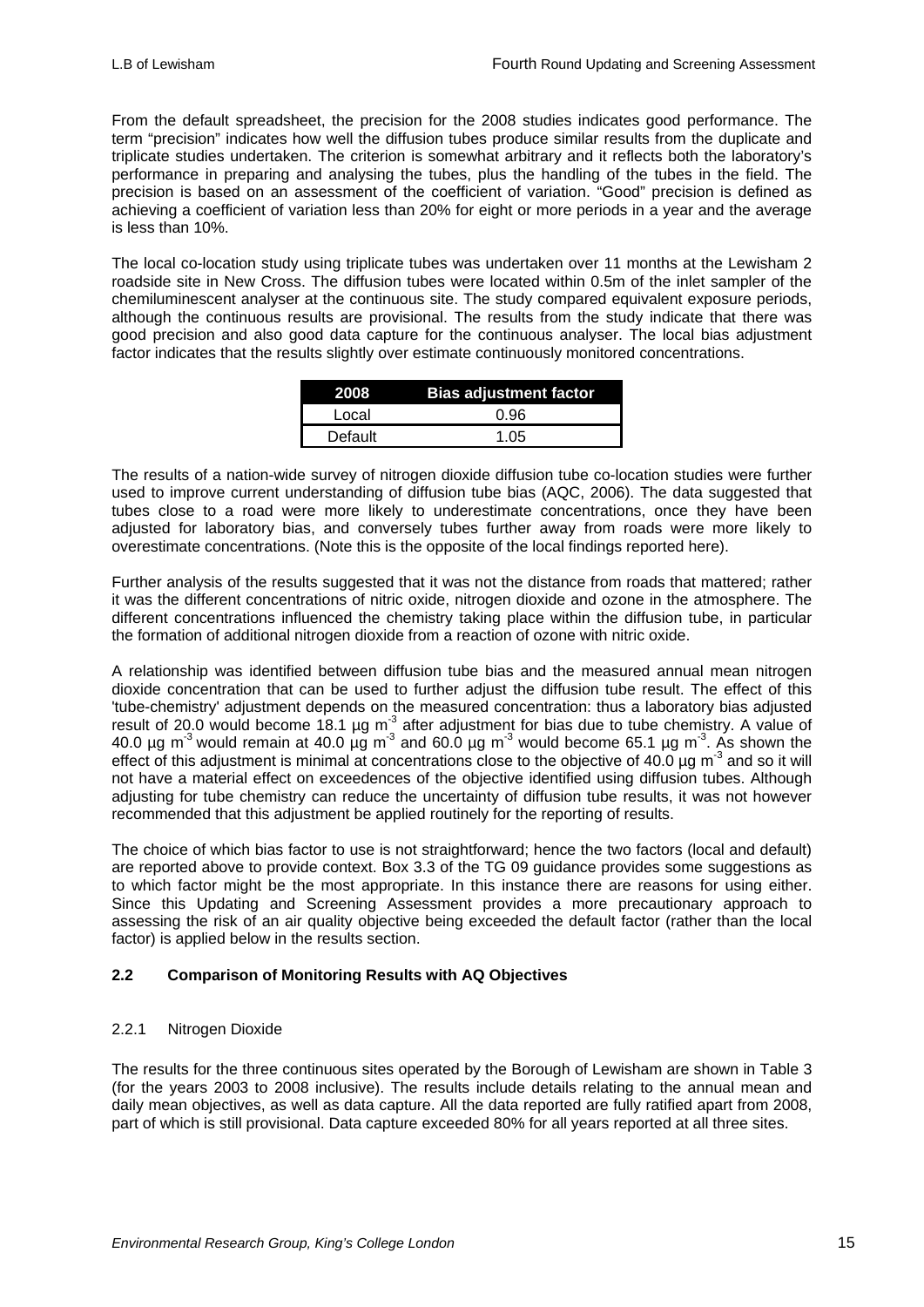From the default spreadsheet, the precision for the 2008 studies indicates good performance. The term "precision" indicates how well the diffusion tubes produce similar results from the duplicate and triplicate studies undertaken. The criterion is somewhat arbitrary and it reflects both the laboratory's performance in preparing and analysing the tubes, plus the handling of the tubes in the field. The precision is based on an assessment of the coefficient of variation. "Good" precision is defined as achieving a coefficient of variation less than 20% for eight or more periods in a year and the average is less than 10%.

The local co-location study using triplicate tubes was undertaken over 11 months at the Lewisham 2 roadside site in New Cross. The diffusion tubes were located within 0.5m of the inlet sampler of the chemiluminescent analyser at the continuous site. The study compared equivalent exposure periods, although the continuous results are provisional. The results from the study indicate that there was good precision and also good data capture for the continuous analyser. The local bias adjustment factor indicates that the results slightly over estimate continuously monitored concentrations.

| 2008    | <b>Bias adjustment factor</b> |
|---------|-------------------------------|
| Local   | 0.96                          |
| Default | 1 05                          |

The results of a nation-wide survey of nitrogen dioxide diffusion tube co-location studies were further used to improve current understanding of diffusion tube bias (AQC, 2006). The data suggested that tubes close to a road were more likely to underestimate concentrations, once they have been adjusted for laboratory bias, and conversely tubes further away from roads were more likely to overestimate concentrations. (Note this is the opposite of the local findings reported here).

Further analysis of the results suggested that it was not the distance from roads that mattered; rather it was the different concentrations of nitric oxide, nitrogen dioxide and ozone in the atmosphere. The different concentrations influenced the chemistry taking place within the diffusion tube, in particular the formation of additional nitrogen dioxide from a reaction of ozone with nitric oxide.

A relationship was identified between diffusion tube bias and the measured annual mean nitrogen dioxide concentration that can be used to further adjust the diffusion tube result. The effect of this 'tube-chemistry' adjustment depends on the measured concentration: thus a laboratory bias adjusted result of 20.0 would become 18.1  $\mu$ g m<sup>-3</sup> after adjustment for bias due to tube chemistry. A value of 40.0 µg m<sup>-3</sup> would remain at 40.0 µg m<sup>-3</sup> and 60.0 µg m<sup>-3</sup> would become 65.1 µg m<sup>-3</sup>. As shown the effect of this adjustment is minimal at concentrations close to the objective of 40.0 µg m<sup>-3</sup> and so it will not have a material effect on exceedences of the objective identified using diffusion tubes. Although adjusting for tube chemistry can reduce the uncertainty of diffusion tube results, it was not however recommended that this adjustment be applied routinely for the reporting of results.

 assessing the risk of an air quality objective being exceeded the default factor (rather than the local factor) is applied below in the results section. The choice of which bias factor to use is not straightforward; hence the two factors (local and default) are reported above to provide context. Box 3.3 of the TG 09 guidance provides some suggestions as to which factor might be the most appropriate. In this instance there are reasons for using either. Since this Updating and Screening Assessment provides a more precautionary approach to

#### **2.2 Comparison of Monitoring Results with AQ Objectives**

#### 2.2.1 Nitrogen Dioxide

The results for the three continuous sites operated by the Borough of Lewisham are shown in Table 3 (for the years 2003 to 2008 inclusive). The results include details relating to the annual mean and daily mean objectives, as well as data capture. All the data reported are fully ratified apart from 2008, part of which is still provisional. Data capture exceeded 80% for all years reported at all three sites.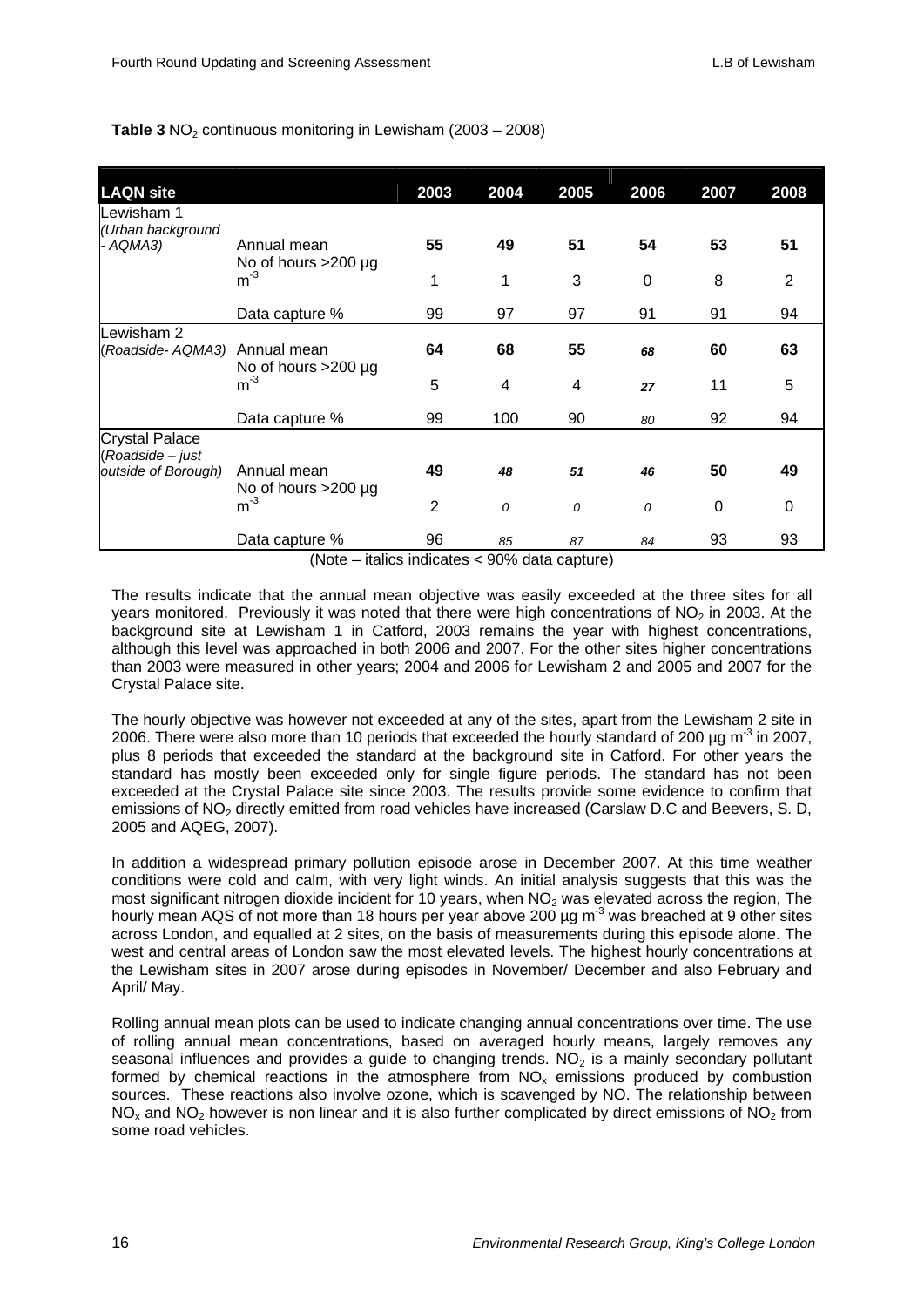| <b>LAQN site</b>                          |                                         | 2003 | 2004 | 2005 | 2006 | 2007        | 2008           |
|-------------------------------------------|-----------------------------------------|------|------|------|------|-------------|----------------|
| Lewisham 1                                |                                         |      |      |      |      |             |                |
| (Urban background<br>- AQMA3)             | Annual mean<br>No of hours >200 µg      | 55   | 49   | 51   | 54   | 53          | 51             |
|                                           | $m-3$                                   | 1    | 1    | 3    | 0    | 8           | $\overline{2}$ |
|                                           | Data capture %                          | 99   | 97   | 97   | 91   | 91          | 94             |
| Lewisham 2                                |                                         |      |      |      |      |             |                |
| (Roadside- AQMA3)                         | Annual mean<br>No of hours $>200 \mu g$ | 64   | 68   | 55   | 68   | 60          | 63             |
|                                           | $m^{-3}$                                | 5    | 4    | 4    | 27   | 11          | 5              |
|                                           | Data capture %                          | 99   | 100  | 90   | 80   | 92          | 94             |
| <b>Crystal Palace</b><br>(Roadside - just |                                         |      |      |      |      |             |                |
| outside of Borough)                       | Annual mean                             | 49   | 48   | 51   | 46   | 50          | 49             |
|                                           | No of hours $>200 \mu g$<br>$m-3$       | 2    | 0    | 0    | 0    | $\mathbf 0$ | 0              |
|                                           | Data capture %                          | 96   | 85   | 87   | 84   | 93          | 93             |

**Table 3 NO**<sub>2</sub> continuous monitoring in Lewisham (2003 – 2008)

(Note – italics indicates < 90% data capture)

The results indicate that the annual mean objective was easily exceeded at the three sites for all years monitored. Previously it was noted that there were high concentrations of  $NO<sub>2</sub>$  in 2003. At the background site at Lewisham 1 in Catford, 2003 remains the year with highest concentrations, although this level was approached in both 2006 and 2007. For the other sites higher concentrations than 2003 were measured in other years; 2004 and 2006 for Lewisham 2 and 2005 and 2007 for the Crystal Palace site.

The hourly objective was however not exceeded at any of the sites, apart from the Lewisham 2 site in 2006. There were also more than 10 periods that exceeded the hourly standard of 200  $\mu$ g m<sup>-3</sup> in 2007, plus 8 periods that exceeded the standard at the background site in Catford. For other years the standard has mostly been exceeded only for single figure periods. The standard has not been exceeded at the Crystal Palace site since 2003. The results provide some evidence to confirm that emissions of NO<sub>2</sub> directly emitted from road vehicles have increased (Carslaw D.C and Beevers, S. D, 2005 and AQEG, 2007).

In addition a widespread primary pollution episode arose in December 2007. At this time weather conditions were cold and calm, with very light winds. An initial analysis suggests that this was the most significant nitrogen dioxide incident for 10 years, when  $NO<sub>2</sub>$  was elevated across the region, The hourly mean AQS of not more than 18 hours per year above 200 µg m<sup>3</sup> was breached at 9 other sites across London, and equalled at 2 sites, on the basis of measurements during this episode alone. The west and central areas of London saw the most elevated levels. The highest hourly concentrations at the Lewisham sites in 2007 arose during episodes in November/ December and also February and April/ May.

some road vehicles. Rolling annual mean plots can be used to indicate changing annual concentrations over time. The use of rolling annual mean concentrations, based on averaged hourly means, largely removes any seasonal influences and provides a guide to changing trends.  $NO<sub>2</sub>$  is a mainly secondary pollutant formed by chemical reactions in the atmosphere from  $NO<sub>x</sub>$  emissions produced by combustion sources. These reactions also involve ozone, which is scavenged by NO. The relationship between  $NO<sub>x</sub>$  and  $NO<sub>2</sub>$  however is non linear and it is also further complicated by direct emissions of  $NO<sub>2</sub>$  from some road vehicles. 16 *Environmental Research Group, King's College London*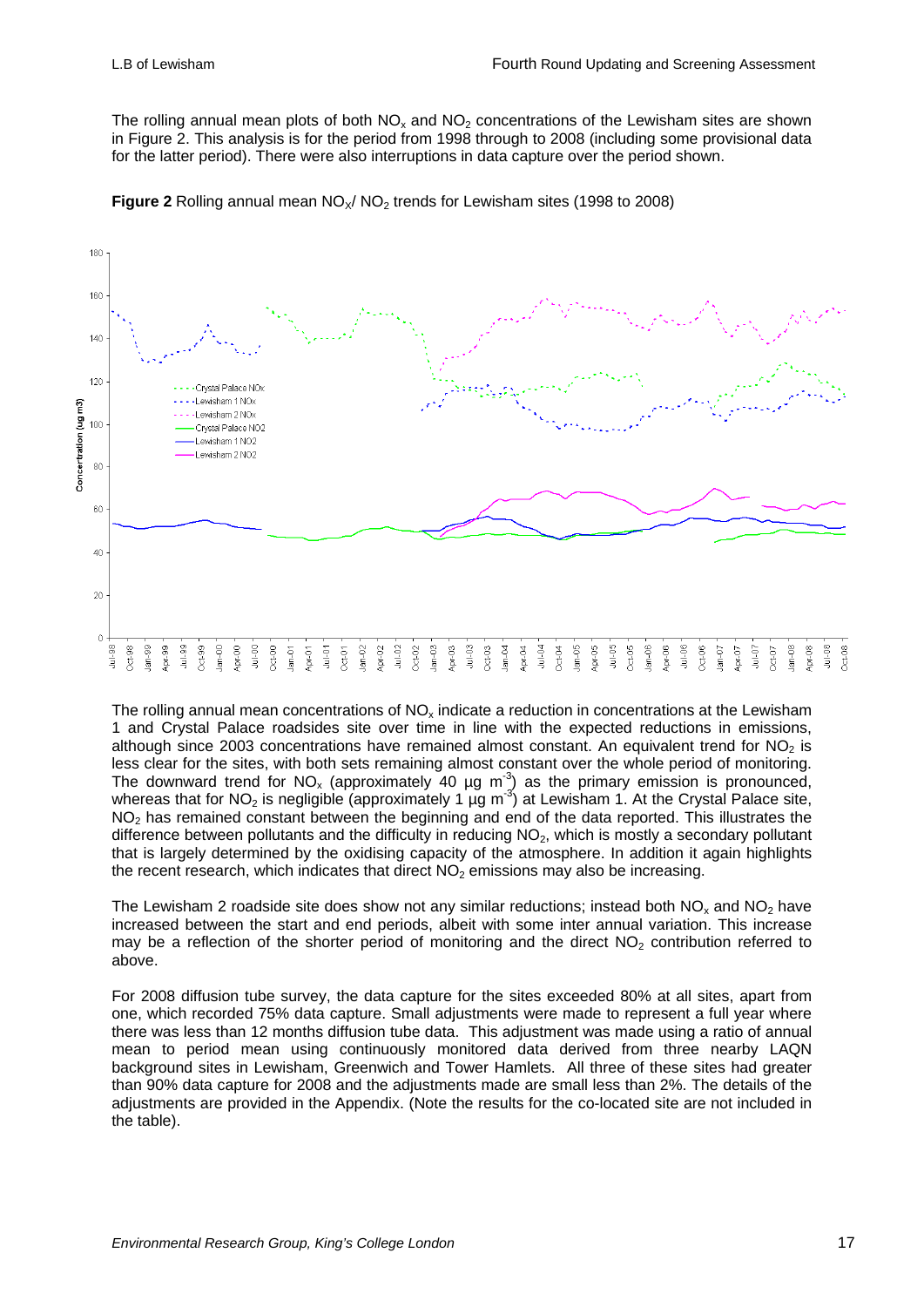The rolling annual mean plots of both  $NO<sub>x</sub>$  and  $NO<sub>2</sub>$  concentrations of the Lewisham sites are shown in Figure 2. This analysis is for the period from 1998 through to 2008 (including some provisional data for the latter period). There were also interruptions in data capture over the period shown.





the recent research, which indicates that direct  $NO<sub>2</sub>$  emissions may also be increasing. The rolling annual mean concentrations of  $NO<sub>x</sub>$  indicate a reduction in concentrations at the Lewisham 1 and Crystal Palace roadsides site over time in line with the expected reductions in emissions, although since 2003 concentrations have remained almost constant. An equivalent trend for  $NO<sub>2</sub>$  is less clear for the sites, with both sets remaining almost constant over the whole period of monitoring. The downward trend for NO<sub>x</sub> (approximately 40  $\mu$ g m<sup>-3</sup>) as the primary emission is pronounced, whereas that for NO<sub>2</sub> is negligible (approximately 1  $\mu$ g m<sup>-3</sup>) at Lewisham 1. At the Crystal Palace site, NO<sub>2</sub> has remained constant between the beginning and end of the data reported. This illustrates the difference between pollutants and the difficulty in reducing  $NO<sub>2</sub>$ , which is mostly a secondary pollutant that is largely determined by the oxidising capacity of the atmosphere. In addition it again highlights

The Lewisham 2 roadside site does show not any similar reductions; instead both  $NO_x$  and  $NO_2$  have increased between the start and end periods, albeit with some inter annual variation. This increase may be a reflection of the shorter period of monitoring and the direct  $NO<sub>2</sub>$  contribution referred to above.

 one, which recorded 75% data capture. Small adjustments were made to represent a full year where For 2008 diffusion tube survey, the data capture for the sites exceeded 80% at all sites, apart from there was less than 12 months diffusion tube data. This adjustment was made using a ratio of annual mean to period mean using continuously monitored data derived from three nearby LAQN background sites in Lewisham, Greenwich and Tower Hamlets. All three of these sites had greater than 90% data capture for 2008 and the adjustments made are small less than 2%. The details of the adjustments are provided in the Appendix. (Note the results for the co-located site are not included in the table).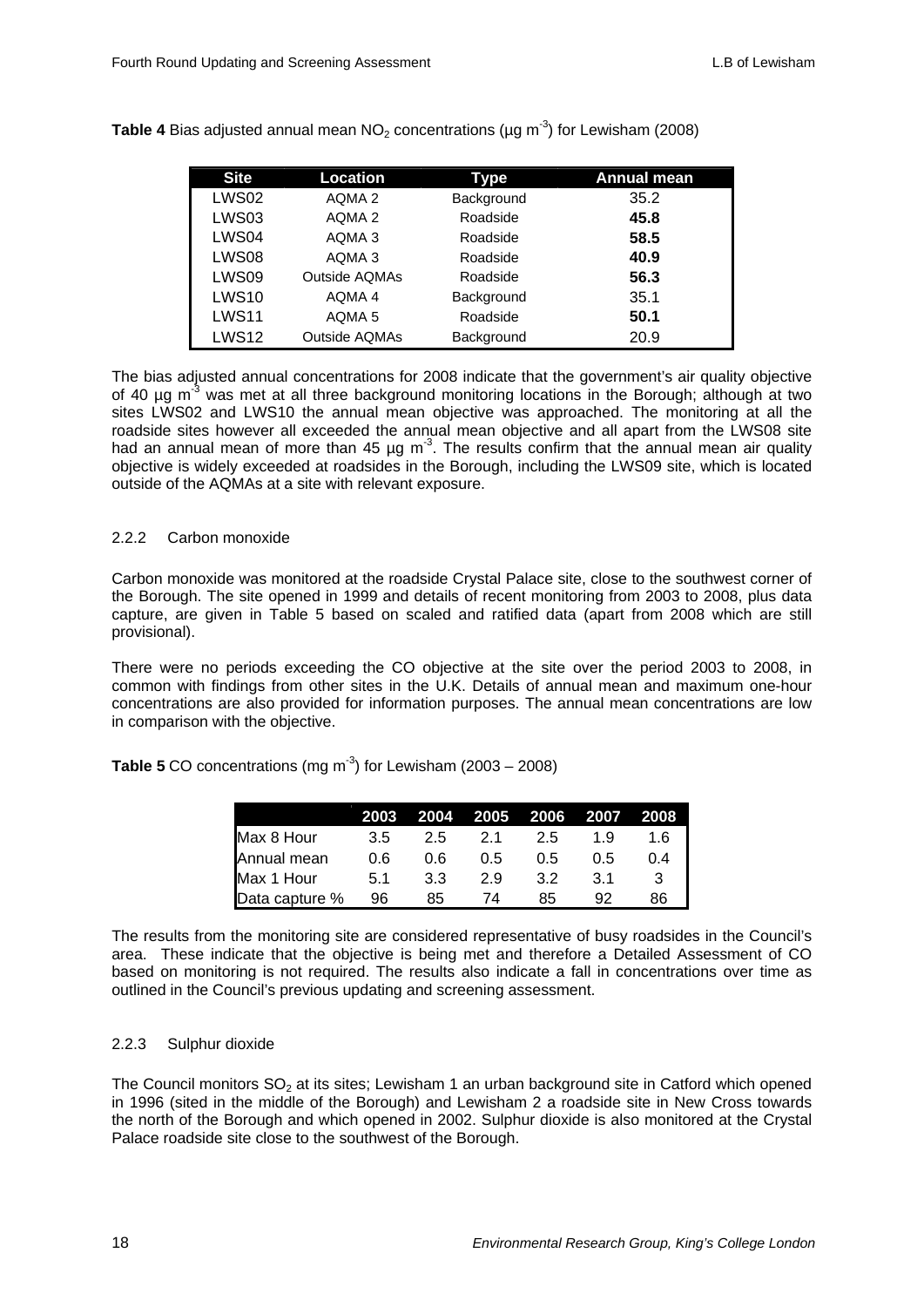| <b>Site</b>       | Location             | Type       | <b>Annual mean</b> |
|-------------------|----------------------|------------|--------------------|
| LWS02             | AQMA 2               | Background | 35.2               |
| LWS <sub>03</sub> | AQMA 2               | Roadside   | 45.8               |
| LWS <sub>04</sub> | AQMA 3               | Roadside   | 58.5               |
| LWS08             | AQMA 3               | Roadside   | 40.9               |
| LWS09             | <b>Outside AQMAs</b> | Roadside   | 56.3               |
| LWS <sub>10</sub> | AQMA 4               | Background | 35.1               |
| <b>LWS11</b>      | AQMA 5               | Roadside   | 50.1               |
| LWS <sub>12</sub> | <b>Outside AQMAs</b> | Background | 20.9               |

**Table 4** Bias adjusted annual mean  $NO<sub>2</sub>$  concentrations (ug m<sup>-3</sup>) for Lewisham (2008)

The bias adjusted annual concentrations for 2008 indicate that the government's air quality objective of 40 µg m<sup>-3</sup> was met at all three background monitoring locations in the Borough; although at two sites LWS02 and LWS10 the annual mean objective was approached. The monitoring at all the roadside sites however all exceeded the annual mean objective and all apart from the LWS08 site had an annual mean of more than 45  $\mu$ g m<sup>-3</sup>. The results confirm that the annual mean air quality objective is widely exceeded at roadsides in the Borough, including the LWS09 site, which is located outside of the AQMAs at a site with relevant exposure.

#### 2.2.2 Carbon monoxide

 the Borough. The site opened in 1999 and details of recent monitoring from 2003 to 2008, plus data Carbon monoxide was monitored at the roadside Crystal Palace site, close to the southwest corner of capture, are given in Table 5 based on scaled and ratified data (apart from 2008 which are still provisional).

There were no periods exceeding the CO objective at the site over the period 2003 to 2008, in common with findings from other sites in the U.K. Details of annual mean and maximum one-hour concentrations are also provided for information purposes. The annual mean concentrations are low in comparison with the objective.

**Table 5** CO concentrations (mg  $m^{-3}$ ) for Lewisham (2003 – 2008)

|                | 2003 | 2004 | 2005 | 2006 | 2007 | 2008 |
|----------------|------|------|------|------|------|------|
| Max 8 Hour     | 3.5  | 2.5  | 2.1  | 2.5  | 1.9  | 1.6  |
| Annual mean    | 0.6  | 0.6  | 0.5  | 0.5  | 0.5  | 0.4  |
| Max 1 Hour     | 5.1  | 3.3  | 2.9  | 3.2  | 3.1  |      |
| Data capture % | 96   | 85   |      | 85   | 92   | 86   |

The results from the monitoring site are considered representative of busy roadsides in the Council's area. These indicate that the objective is being met and therefore a Detailed Assessment of CO based on monitoring is not required. The results also indicate a fall in concentrations over time as outlined in the Council's previous updating and screening assessment.

#### 2.2.3 Sulphur dioxide

The Council monitors  $SO<sub>2</sub>$  at its sites; Lewisham 1 an urban background site in Catford which opened in 1996 (sited in the middle of the Borough) and Lewisham 2 a roadside site in New Cross towards the north of the Borough and which opened in 2002. Sulphur dioxide is also monitored at the Crystal Palace roadside site close to the southwest of the Borough.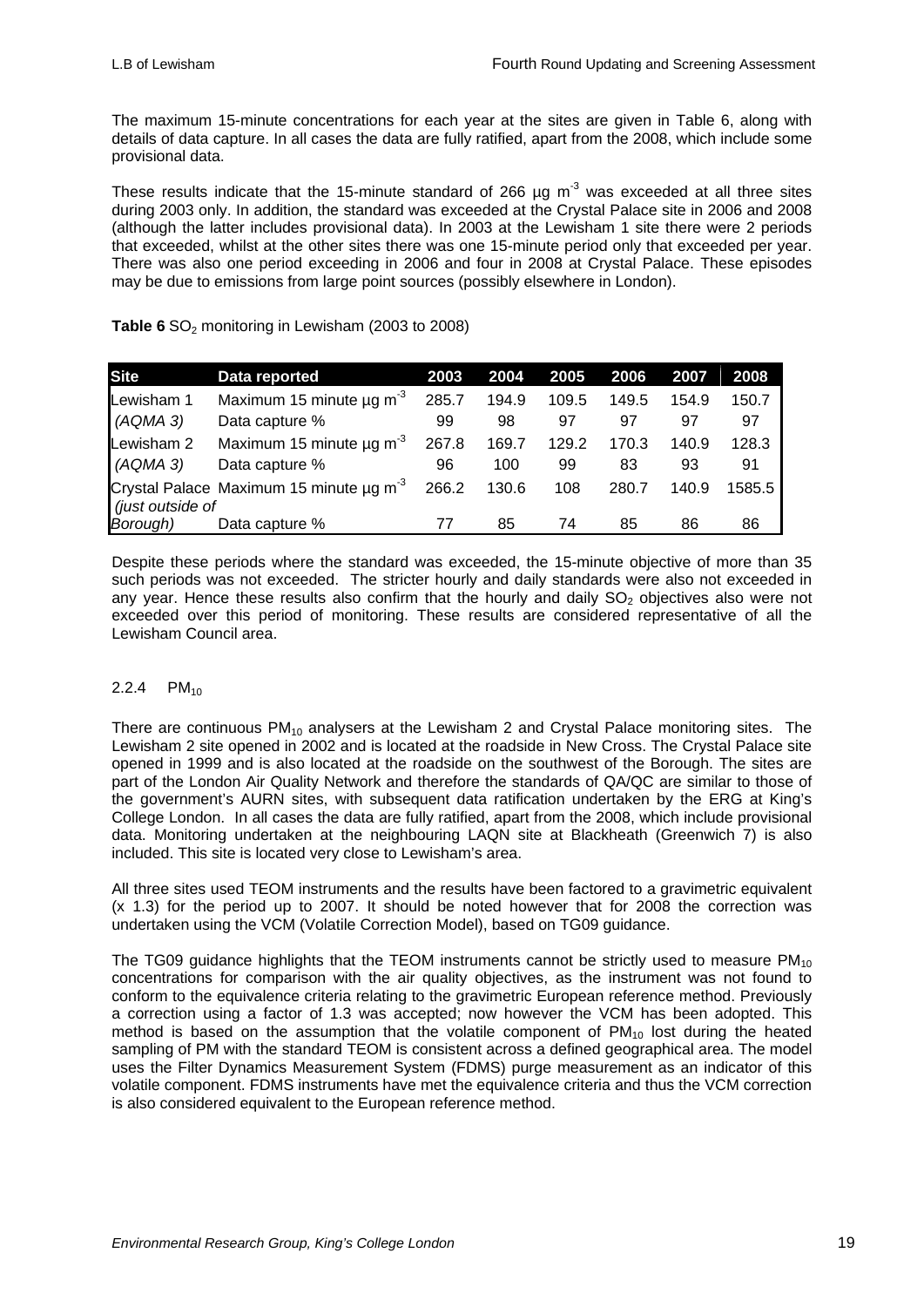The maximum 15-minute concentrations for each year at the sites are given in Table 6, along with details of data capture. In all cases the data are fully ratified, apart from the 2008, which include some provisional data.

that exceeded, whilst at the other sites there was one 15-minute period only that exceeded per year. These results indicate that the 15-minute standard of 266  $\mu$ g m<sup>-3</sup> was exceeded at all three sites during 2003 only. In addition, the standard was exceeded at the Crystal Palace site in 2006 and 2008 (although the latter includes provisional data). In 2003 at the Lewisham 1 site there were 2 periods There was also one period exceeding in 2006 and four in 2008 at Crystal Palace. These episodes may be due to emissions from large point sources (possibly elsewhere in London).

**Table 6** SO<sub>2</sub> monitoring in Lewisham (2003 to 2008)

| <b>Site</b>      | Data reported                                        | 2003  | 2004  | 2005  | 2006  | 2007  | 2008   |
|------------------|------------------------------------------------------|-------|-------|-------|-------|-------|--------|
| Lewisham 1       | Maximum 15 minute $\mu$ g m <sup>-3</sup>            | 285.7 | 194.9 | 109.5 | 149.5 | 154.9 | 150.7  |
| (AQMA 3)         | Data capture %                                       | 99    | 98    | 97    | 97    | 97    | 97     |
| Lewisham 2       | Maximum 15 minute $\mu$ g m <sup>-3</sup>            | 267.8 | 169.7 | 129.2 | 170.3 | 140.9 | 128.3  |
| (AQMA 3)         | Data capture %                                       | 96    | 100   | 99    | 83    | 93    | 91     |
| (just outside of | Crystal Palace Maximum 15 minute $\mu$ g m $3$ 266.2 |       | 130.6 | 108   | 280.7 | 140.9 | 1585.5 |
| Borough)         | Data capture %                                       | 77    | 85    | 74    | 85    | 86    | 86     |

Despite these periods where the standard was exceeded, the 15-minute objective of more than 35 such periods was not exceeded. The stricter hourly and daily standards were also not exceeded in any year. Hence these results also confirm that the hourly and daily  $SO<sub>2</sub>$  objectives also were not exceeded over this period of monitoring. These results are considered representative of all the Lewisham Council area.

#### 2.2.4  $PM_{10}$

There are continuous  $PM_{10}$  analysers at the Lewisham 2 and Crystal Palace monitoring sites. The Lewisham 2 site opened in 2002 and is located at the roadside in New Cross. The Crystal Palace site opened in 1999 and is also located at the roadside on the southwest of the Borough. The sites are part of the London Air Quality Network and therefore the standards of QA/QC are similar to those of the government's AURN sites, with subsequent data ratification undertaken by the ERG at King's College London. In all cases the data are fully ratified, apart from the 2008, which include provisional data. Monitoring undertaken at the neighbouring LAQN site at Blackheath (Greenwich 7) is also included. This site is located very close to Lewisham's area.

All three sites used TEOM instruments and the results have been factored to a gravimetric equivalent (x 1.3) for the period up to 2007. It should be noted however that for 2008 the correction was undertaken using the VCM (Volatile Correction Model), based on TG09 guidance.

The TG09 guidance highlights that the TEOM instruments cannot be strictly used to measure  $PM_{10}$ concentrations for comparison with the air quality objectives, as the instrument was not found to conform to the equivalence criteria relating to the gravimetric European reference method. Previously a correction using a factor of 1.3 was accepted; now however the VCM has been adopted. This method is based on the assumption that the volatile component of  $PM<sub>10</sub>$  lost during the heated sampling of PM with the standard TEOM is consistent across a defined geographical area. The model uses the Filter Dynamics Measurement System (FDMS) purge measurement as an indicator of this volatile component. FDMS instruments have met the equivalence criteria and thus the VCM correction is also considered equivalent to the European reference method.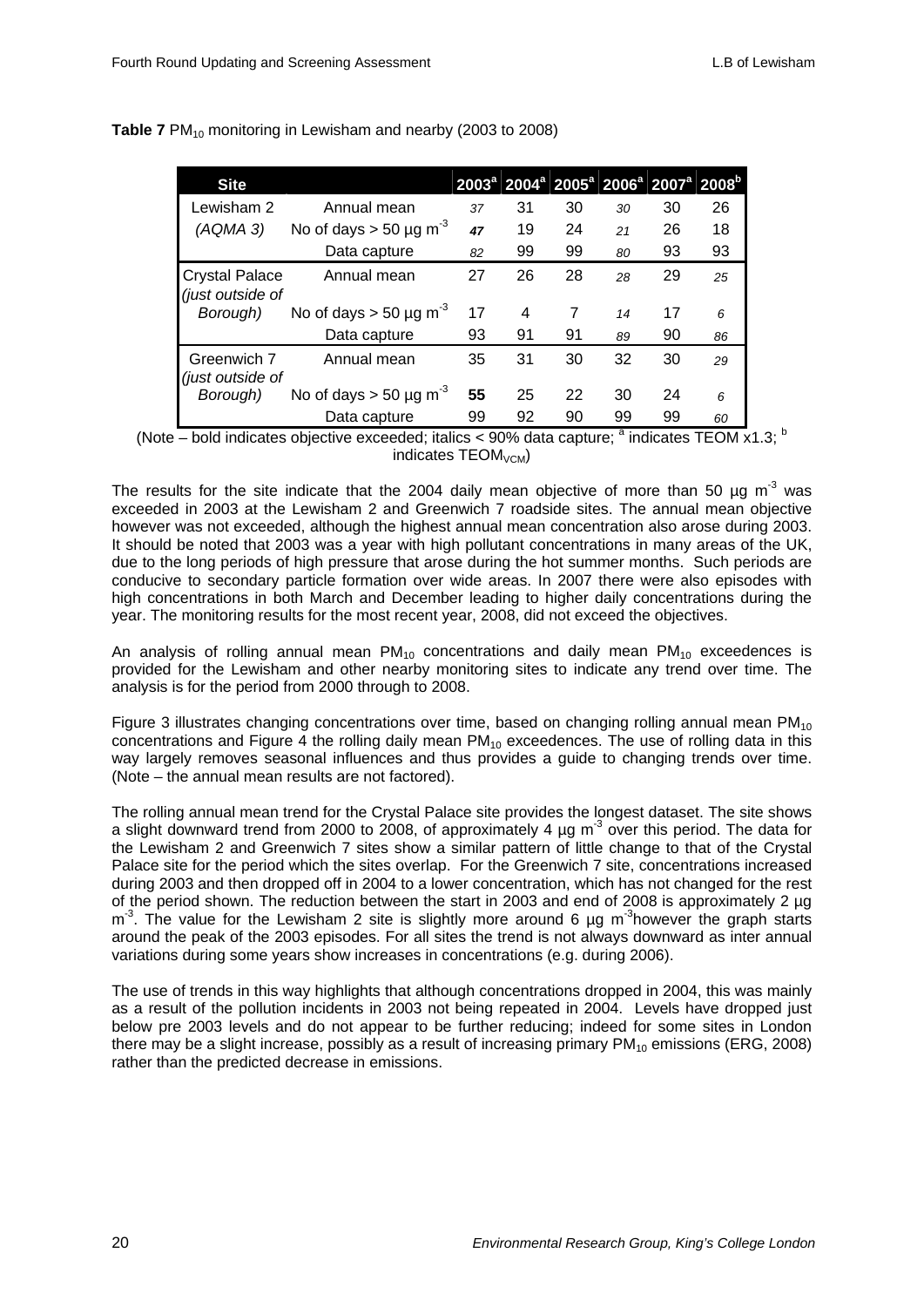| <b>Site</b>                               |                                      |    |    |    |    | 2003 <sup>a</sup> 2004 <sup>a</sup> 2005 <sup>a</sup> 2006 <sup>a</sup> 2007 <sup>a</sup> 2008 <sup>b</sup> |    |
|-------------------------------------------|--------------------------------------|----|----|----|----|-------------------------------------------------------------------------------------------------------------|----|
| Lewisham 2                                | Annual mean                          | 37 | 31 | 30 | 30 | 30                                                                                                          | 26 |
| (AQMA 3)                                  | No of days $>$ 50 µg m <sup>-3</sup> | 47 | 19 | 24 | 21 | 26                                                                                                          | 18 |
|                                           | Data capture                         | 82 | 99 | 99 | 80 | 93                                                                                                          | 93 |
| <b>Crystal Palace</b><br>(just outside of | Annual mean                          | 27 | 26 | 28 | 28 | 29                                                                                                          | 25 |
| Borough)                                  | No of days $>$ 50 µg m <sup>-3</sup> | 17 | 4  | 7  | 14 | 17                                                                                                          | 6  |
|                                           | Data capture                         | 93 | 91 | 91 | 89 | 90                                                                                                          | 86 |
| Greenwich 7<br>(just outside of           | Annual mean                          | 35 | 31 | 30 | 32 | 30                                                                                                          | 29 |
| Borough)                                  | No of days $>$ 50 µg m <sup>-3</sup> | 55 | 25 | 22 | 30 | 24                                                                                                          | 6  |
|                                           | Data capture                         | 99 | 92 | 90 | 99 | 99                                                                                                          | 60 |

#### **Table 7** PM<sub>10</sub> monitoring in Lewisham and nearby (2003 to 2008)

(Note  $-$  bold indicates objective exceeded; italics < 90% data capture;  $^{\text{a}}$  indicates TEOM x1.3;  $^{\text{b}}$ indicates  $TEOM<sub>VCM</sub>$ 

The results for the site indicate that the 2004 daily mean objective of more than 50  $\mu$ g m<sup>-3</sup> was exceeded in 2003 at the Lewisham 2 and Greenwich 7 roadside sites. The annual mean objective however was not exceeded, although the highest annual mean concentration also arose during 2003. It should be noted that 2003 was a year with high pollutant concentrations in many areas of the UK, due to the long periods of high pressure that arose during the hot summer months. Such periods are conducive to secondary particle formation over wide areas. In 2007 there were also episodes with high concentrations in both March and December leading to higher daily concentrations during the year. The monitoring results for the most recent year, 2008, did not exceed the objectives.

An analysis of rolling annual mean  $PM_{10}$  concentrations and daily mean  $PM_{10}$  exceedences is provided for the Lewisham and other nearby monitoring sites to indicate any trend over time. The analysis is for the period from 2000 through to 2008.

Figure 3 illustrates changing concentrations over time, based on changing rolling annual mean  $PM_{10}$ concentrations and Figure 4 the rolling daily mean  $PM_{10}$  exceedences. The use of rolling data in this way largely removes seasonal influences and thus provides a guide to changing trends over time. (Note – the annual mean results are not factored).

The rolling annual mean trend for the Crystal Palace site provides the longest dataset. The site shows a slight downward trend from 2000 to 2008, of approximately 4  $\mu$ g m<sup>3</sup> over this period. The data for the Lewisham 2 and Greenwich 7 sites show a similar pattern of little change to that of the Crystal Palace site for the period which the sites overlap. For the Greenwich 7 site, concentrations increased during 2003 and then dropped off in 2004 to a lower concentration, which has not changed for the rest of the period shown. The reduction between the start in 2003 and end of 2008 is approximately 2 µg  $m<sup>3</sup>$ . The value for the Lewisham 2 site is slightly more around 6 ug m<sup>-3</sup>however the graph starts around the peak of the 2003 episodes. For all sites the trend is not always downward as inter annual variations during some years show increases in concentrations (e.g. during 2006).

The use of trends in this way highlights that although concentrations dropped in 2004, this was mainly as a result of the pollution incidents in 2003 not being repeated in 2004. Levels have dropped just below pre 2003 levels and do not appear to be further reducing; indeed for some sites in London there may be a slight increase, possibly as a result of increasing primary  $PM_{10}$  emissions (ERG, 2008) rather than the predicted decrease in emissions.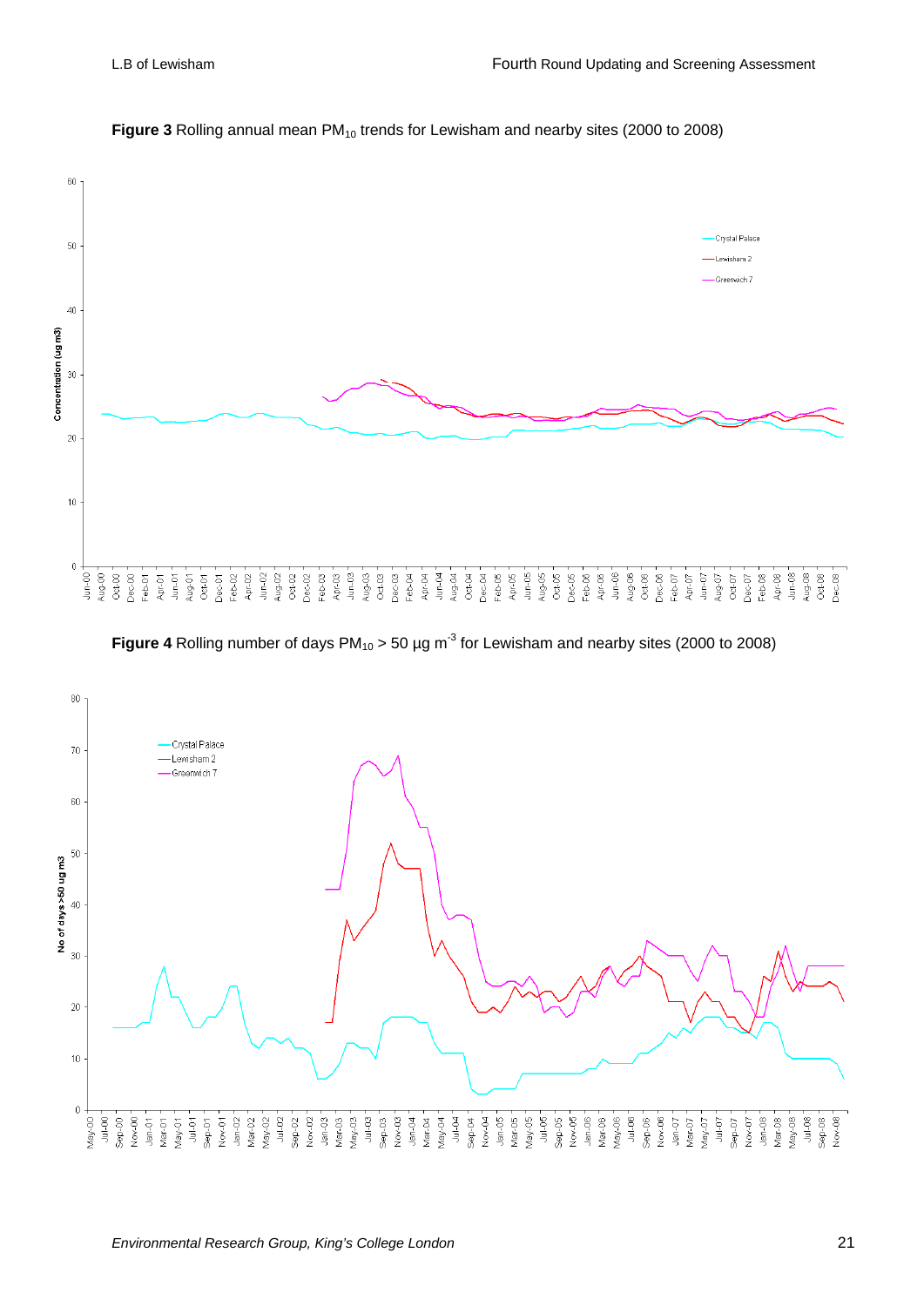

#### **Figure 3** Rolling annual mean PM<sub>10</sub> trends for Lewisham and nearby sites (2000 to 2008)

### **Figure 4** Rolling number of days  $PM_{10} > 50 \mu g m^{-3}$  for Lewisham and nearby sites (2000 to 2008)

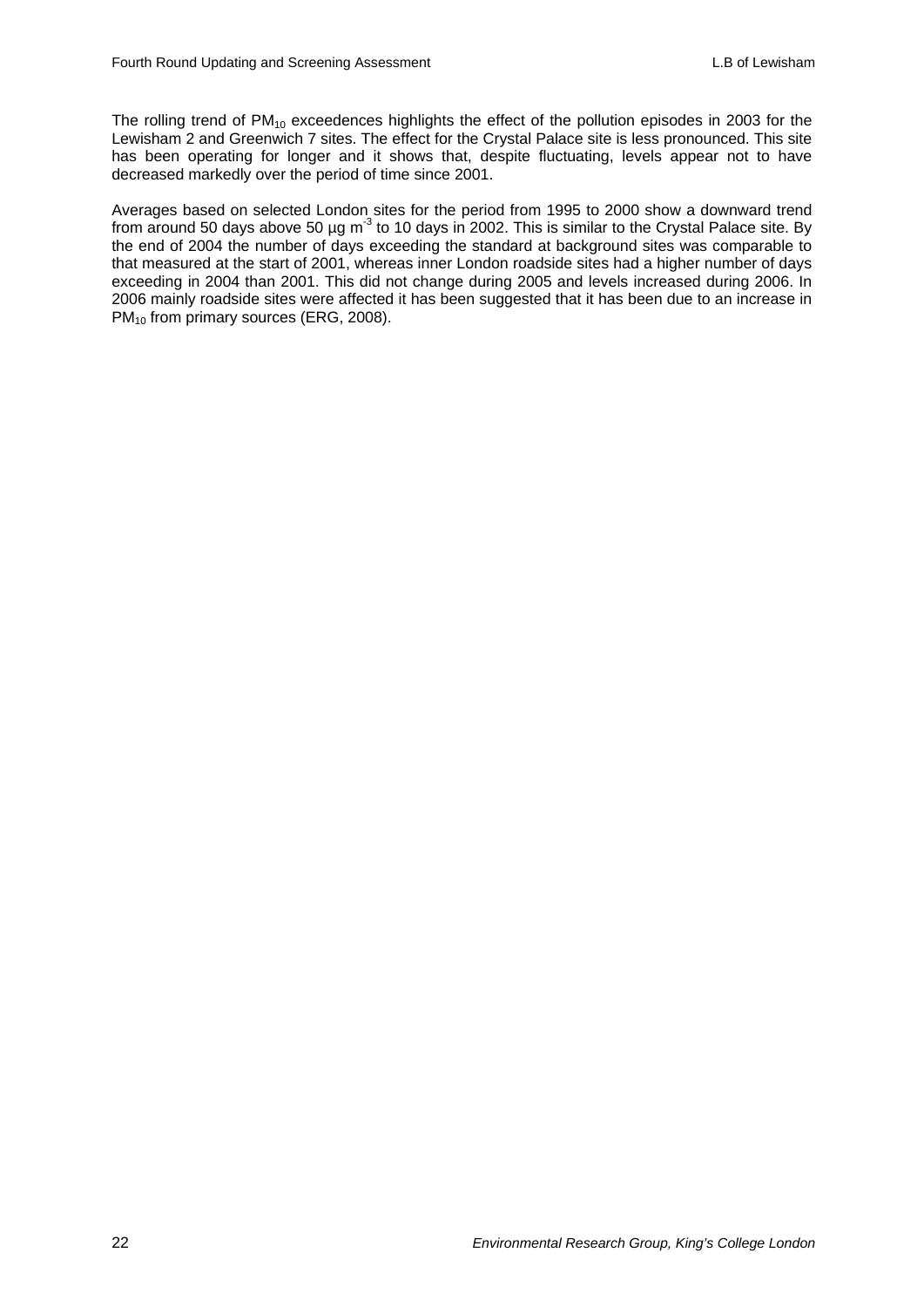The rolling trend of  $PM_{10}$  exceedences highlights the effect of the pollution episodes in 2003 for the Lewisham 2 and Greenwich 7 sites. The effect for the Crystal Palace site is less pronounced. This site has been operating for longer and it shows that, despite fluctuating, levels appear not to have decreased markedly over the period of time since 2001.

 that measured at the start of 2001, whereas inner London roadside sites had a higher number of days Averages based on selected London sites for the period from 1995 to 2000 show a downward trend from around 50 days above 50  $\mu$ g m<sup>-3</sup> to 10 days in 2002. This is similar to the Crystal Palace site. By the end of 2004 the number of days exceeding the standard at background sites was comparable to exceeding in 2004 than 2001. This did not change during 2005 and levels increased during 2006. In 2006 mainly roadside sites were affected it has been suggested that it has been due to an increase in PM<sub>10</sub> from primary sources (ERG, 2008).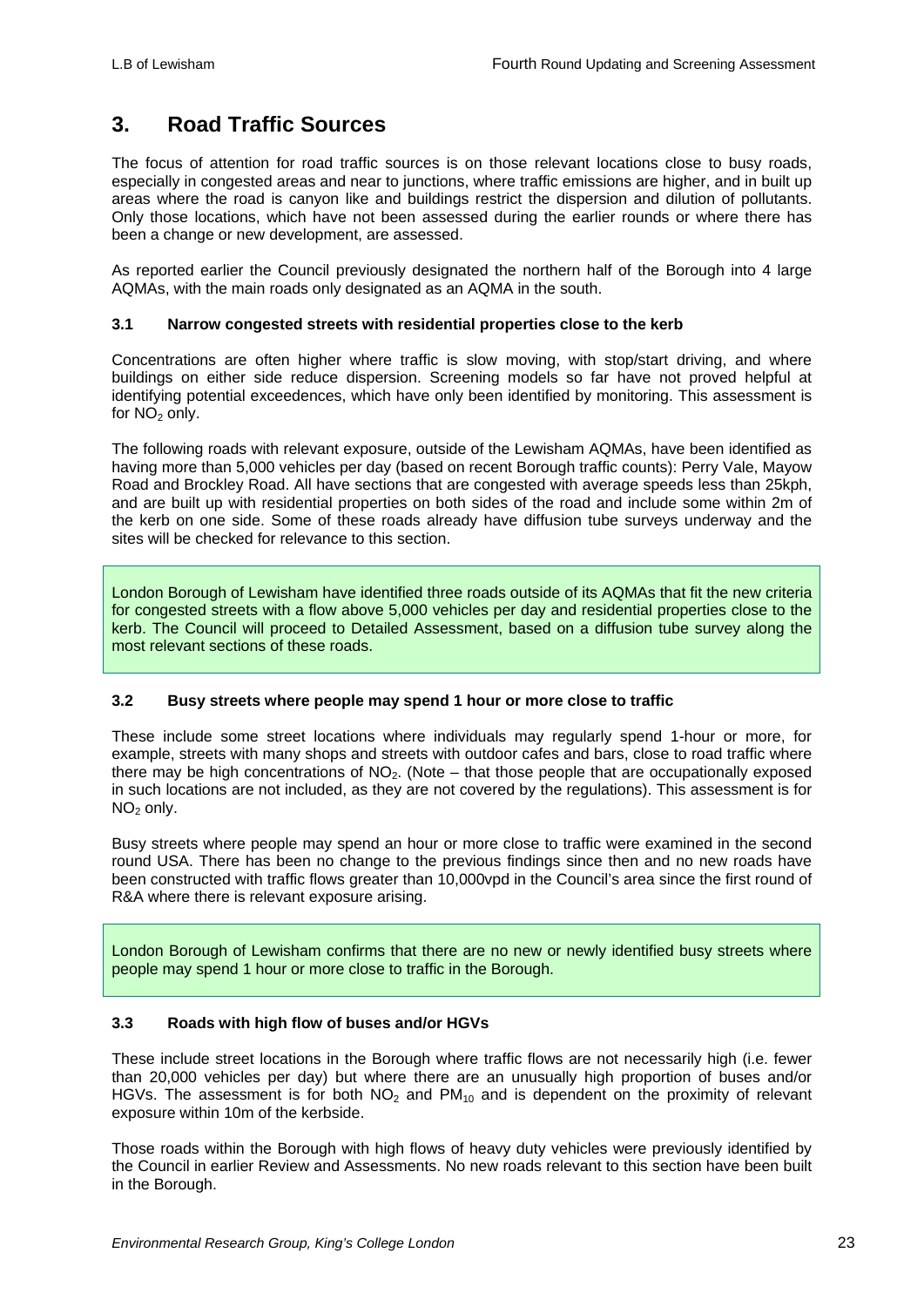## **3. Road Traffic Sources**

The focus of attention for road traffic sources is on those relevant locations close to busy roads, especially in congested areas and near to junctions, where traffic emissions are higher, and in built up areas where the road is canyon like and buildings restrict the dispersion and dilution of pollutants. Only those locations, which have not been assessed during the earlier rounds or where there has been a change or new development, are assessed.

As reported earlier the Council previously designated the northern half of the Borough into 4 large AQMAs, with the main roads only designated as an AQMA in the south.

#### **3.1 Narrow congested streets with residential properties close to the kerb**

Concentrations are often higher where traffic is slow moving, with stop/start driving, and where buildings on either side reduce dispersion. Screening models so far have not proved helpful at identifying potential exceedences, which have only been identified by monitoring. This assessment is for  $NO<sub>2</sub>$  only.

 Road and Brockley Road. All have sections that are congested with average speeds less than 25kph, The following roads with relevant exposure, outside of the Lewisham AQMAs, have been identified as having more than 5,000 vehicles per day (based on recent Borough traffic counts): Perry Vale, Mayow and are built up with residential properties on both sides of the road and include some within 2m of the kerb on one side. Some of these roads already have diffusion tube surveys underway and the sites will be checked for relevance to this section.

London Borough of Lewisham have identified three roads outside of its AQMAs that fit the new criteria for congested streets with a flow above 5,000 vehicles per day and residential properties close to the kerb. The Council will proceed to Detailed Assessment, based on a diffusion tube survey along the most relevant sections of these roads.

#### **3.2 Busy streets where people may spend 1 hour or more close to traffic**

These include some street locations where individuals may regularly spend 1-hour or more, for example, streets with many shops and streets with outdoor cafes and bars, close to road traffic where there may be high concentrations of  $NO<sub>2</sub>$ . (Note – that those people that are occupationally exposed in such locations are not included, as they are not covered by the regulations). This assessment is for  $NO<sub>2</sub>$  only.

Busy streets where people may spend an hour or more close to traffic were examined in the second round USA. There has been no change to the previous findings since then and no new roads have been constructed with traffic flows greater than 10,000vpd in the Council's area since the first round of R&A where there is relevant exposure arising.

London Borough of Lewisham confirms that there are no new or newly identified busy streets where people may spend 1 hour or more close to traffic in the Borough.

#### **3.3 Roads with high flow of buses and/or HGVs**

These include street locations in the Borough where traffic flows are not necessarily high (i.e. fewer than 20,000 vehicles per day) but where there are an unusually high proportion of buses and/or HGVs. The assessment is for both  $NO<sub>2</sub>$  and PM<sub>10</sub> and is dependent on the proximity of relevant exposure within 10m of the kerbside.

Those roads within the Borough with high flows of heavy duty vehicles were previously identified by the Council in earlier Review and Assessments. No new roads relevant to this section have been built in the Borough.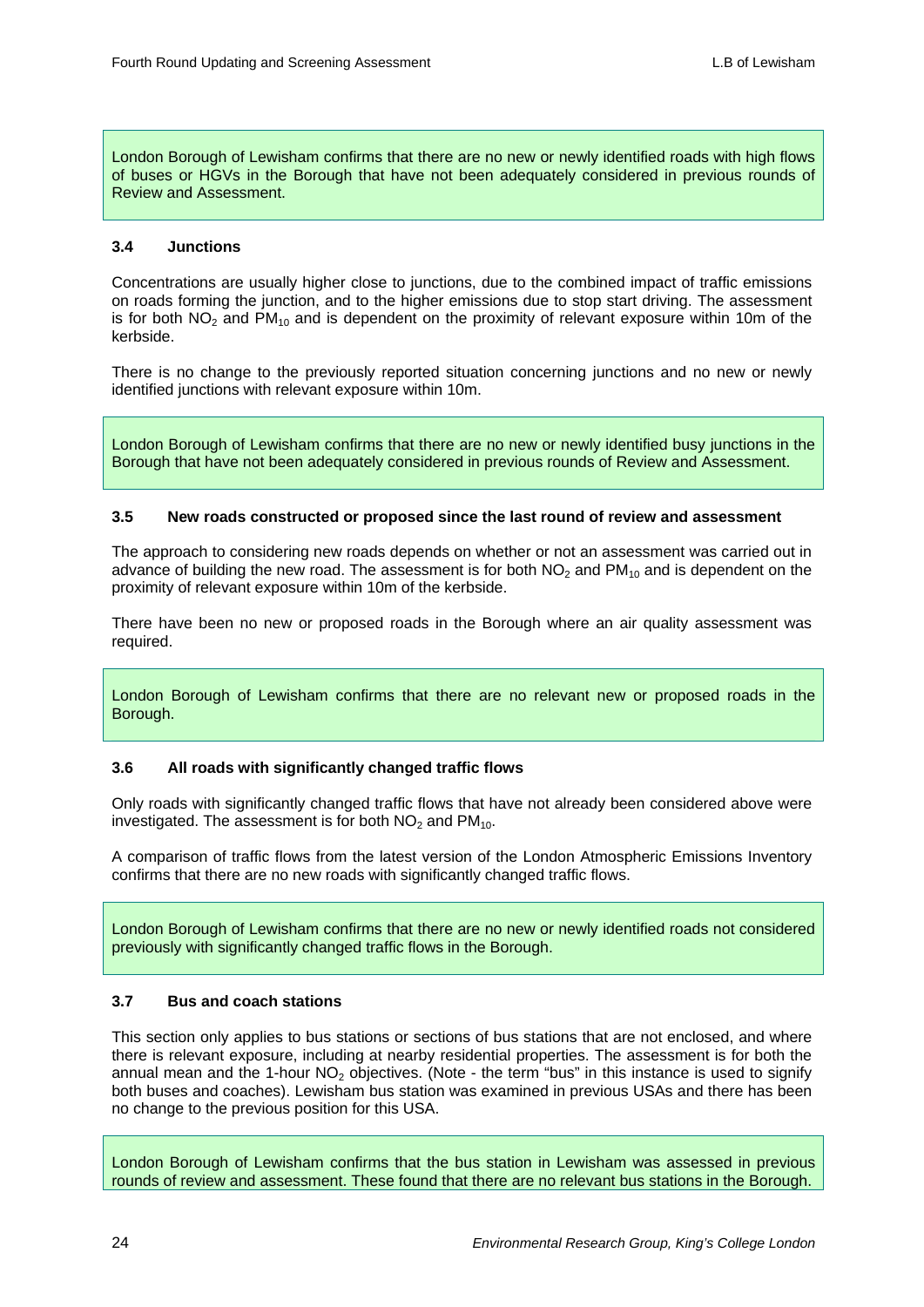London Borough of Lewisham confirms that there are no new or newly identified roads with high flows of buses or HGVs in the Borough that have not been adequately considered in previous rounds of Review and Assessment.

#### **3.4 Junctions**

kerbside. Concentrations are usually higher close to junctions, due to the combined impact of traffic emissions on roads forming the junction, and to the higher emissions due to stop start driving. The assessment is for both  $NO<sub>2</sub>$  and PM<sub>10</sub> and is dependent on the proximity of relevant exposure within 10m of the

identified junctions with relevant exposure within 10m. There is no change to the previously reported situation concerning junctions and no new or newly

London Borough of Lewisham confirms that there are no new or newly identified busy junctions in the Borough that have not been adequately considered in previous rounds of Review and Assessment.

#### **3.5 New roads constructed or proposed since the last round of review and assessment**

The approach to considering new roads depends on whether or not an assessment was carried out in advance of building the new road. The assessment is for both  $NO<sub>2</sub>$  and PM<sub>10</sub> and is dependent on the proximity of relevant exposure within 10m of the kerbside.

There have been no new or proposed roads in the Borough where an air quality assessment was required.

London Borough of Lewisham confirms that there are no relevant new or proposed roads in the Borough.

#### **3.6 All roads with significantly changed traffic flows**

Only roads with significantly changed traffic flows that have not already been considered above were investigated. The assessment is for both  $NO<sub>2</sub>$  and  $PM<sub>10</sub>$ .

A comparison of traffic flows from the latest version of the London Atmospheric Emissions Inventory confirms that there are no new roads with significantly changed traffic flows.

 London Borough of Lewisham confirms that there are no new or newly identified roads not considered previously with significantly changed traffic flows in the Borough.

#### **3.7 Bus and coach stations**

This section only applies to bus stations or sections of bus stations that are not enclosed, and where there is relevant exposure, including at nearby residential properties. The assessment is for both the annual mean and the 1-hour  $NO<sub>2</sub>$  objectives. (Note - the term "bus" in this instance is used to signify both buses and coaches). Lewisham bus station was examined in previous USAs and there has been no change to the previous position for this USA.

London Borough of Lewisham confirms that the bus station in Lewisham was assessed in previous rounds of review and assessment. These found that there are no relevant bus stations in the Borough.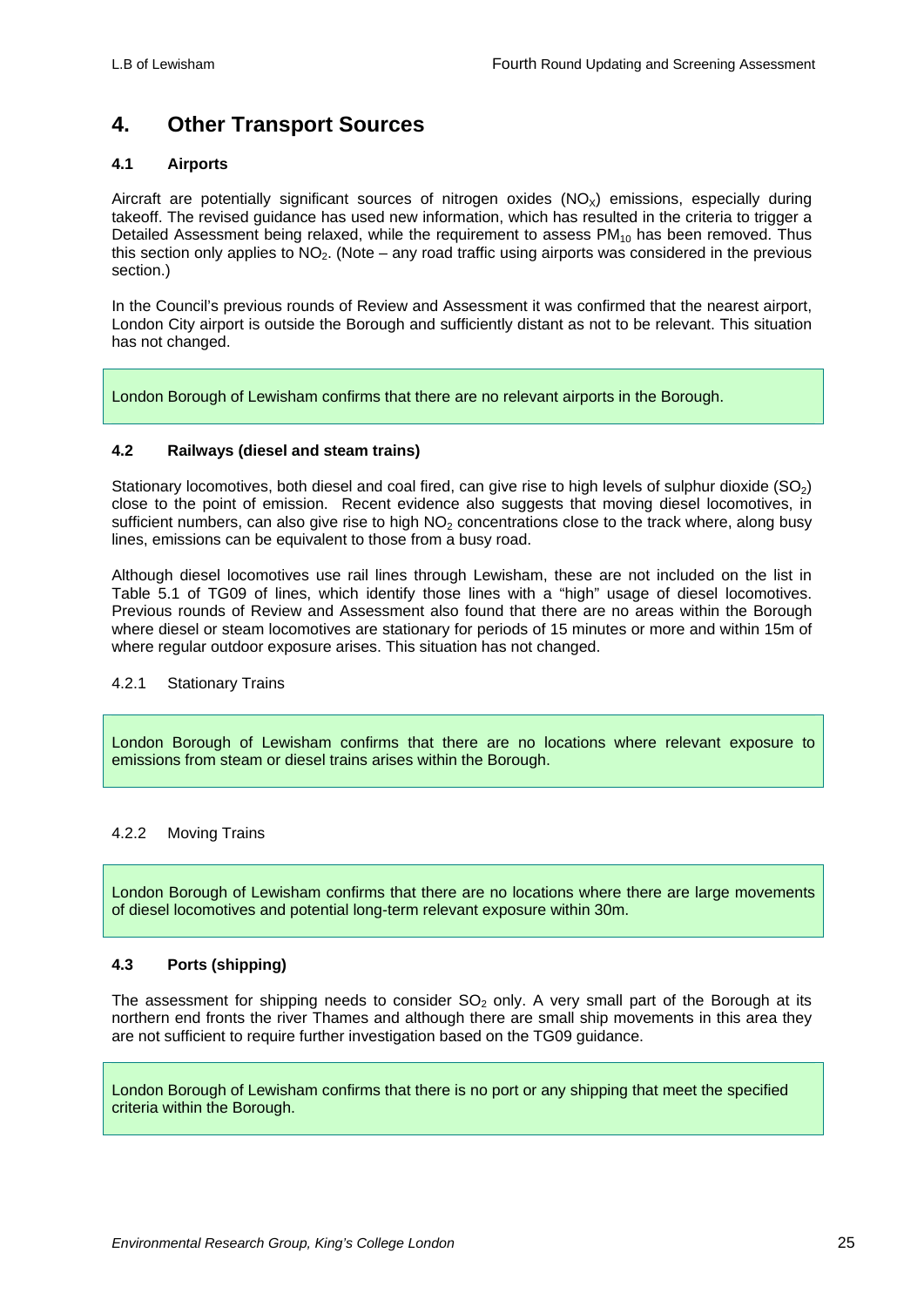### **4. Other Transport Sources**

#### **4.1 Airports**

Aircraft are potentially significant sources of nitrogen oxides  $(NO<sub>x</sub>)$  emissions, especially during takeoff. The revised guidance has used new information, which has resulted in the criteria to trigger a Detailed Assessment being relaxed, while the requirement to assess  $PM_{10}$  has been removed. Thus this section only applies to  $NO<sub>2</sub>$ . (Note – any road traffic using airports was considered in the previous section.)

In the Council's previous rounds of Review and Assessment it was confirmed that the nearest airport, London City airport is outside the Borough and sufficiently distant as not to be relevant. This situation has not changed.

London Borough of Lewisham confirms that there are no relevant airports in the Borough.

#### **4.2 Railways (diesel and steam trains)**

Stationary locomotives, both diesel and coal fired, can give rise to high levels of sulphur dioxide ( $SO<sub>2</sub>$ ) close to the point of emission. Recent evidence also suggests that moving diesel locomotives, in sufficient numbers, can also give rise to high  $NO<sub>2</sub>$  concentrations close to the track where, along busy lines, emissions can be equivalent to those from a busy road.

Although diesel locomotives use rail lines through Lewisham, these are not included on the list in Table 5.1 of TG09 of lines, which identify those lines with a "high" usage of diesel locomotives. Previous rounds of Review and Assessment also found that there are no areas within the Borough where diesel or steam locomotives are stationary for periods of 15 minutes or more and within 15m of where regular outdoor exposure arises. This situation has not changed.

#### 4.2.1 Stationary Trains

London Borough of Lewisham confirms that there are no locations where relevant exposure to emissions from steam or diesel trains arises within the Borough.

#### 4.2.2 Moving Trains

London Borough of Lewisham confirms that there are no locations where there are large movements of diesel locomotives and potential long-term relevant exposure within 30m.

#### **4.3 Ports (shipping)**

The assessment for shipping needs to consider  $SO<sub>2</sub>$  only. A very small part of the Borough at its northern end fronts the river Thames and although there are small ship movements in this area they are not sufficient to require further investigation based on the TG09 guidance.

London Borough of Lewisham confirms that there is no port or any shipping that meet the specified criteria within the Borough.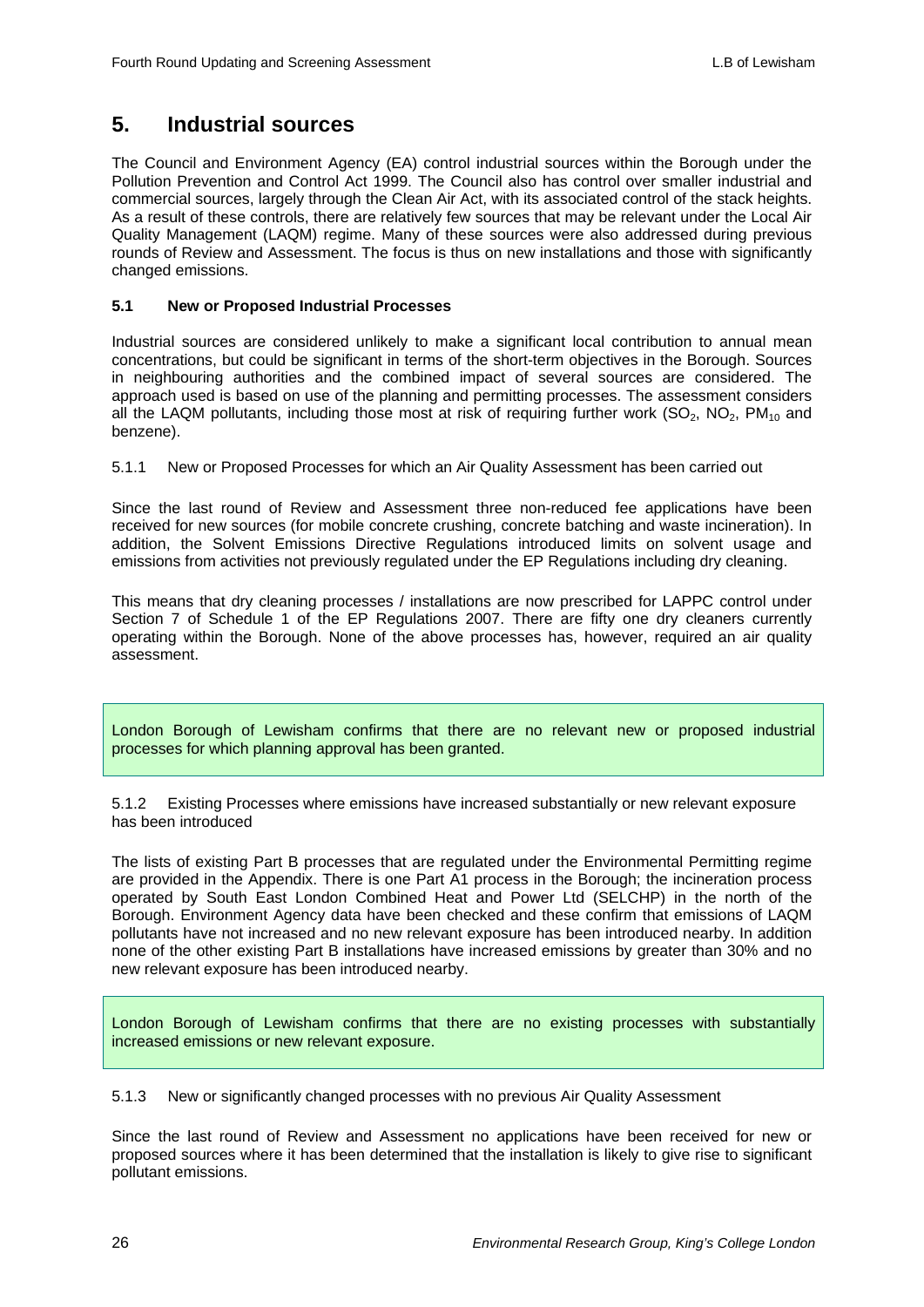### <span id="page-25-0"></span>**5. Industrial sources**

The Council and Environment Agency (EA) control industrial sources within the Borough under the Pollution Prevention and Control Act 1999. The Council also has control over smaller industrial and commercial sources, largely through the Clean Air Act, with its associated control of the stack heights. As a result of these controls, there are relatively few sources that may be relevant under the Local Air Quality Management (LAQM) regime. Many of these sources were also addressed during previous rounds of Review and Assessment. The focus is thus on new installations and those with significantly changed emissions.

#### **5.1 New or Proposed Industrial Processes**

Industrial sources are considered unlikely to make a significant local contribution to annual mean concentrations, but could be significant in terms of the short-term objectives in the Borough. Sources in neighbouring authorities and the combined impact of several sources are considered. The approach used is based on use of the planning and permitting processes. The assessment considers all the LAQM pollutants, including those most at risk of requiring further work ( $SO_2$ ,  $NO_2$ ,  $PM_{10}$  and benzene).

5.1.1 New or Proposed Processes for which an Air Quality Assessment has been carried out

Since the last round of Review and Assessment three non-reduced fee applications have been received for new sources (for mobile concrete crushing, concrete batching and waste incineration). In addition, the Solvent Emissions Directive Regulations introduced limits on solvent usage and emissions from activities not previously regulated under the EP Regulations including dry cleaning.

This means that dry cleaning processes / installations are now prescribed for LAPPC control under Section 7 of Schedule 1 of the EP Regulations 2007. There are fifty one dry cleaners currently operating within the Borough. None of the above processes has, however, required an air quality assessment.

London Borough of Lewisham confirms that there are no relevant new or proposed industrial processes for which planning approval has been granted.

5.1.2 Existing Processes where emissions have increased substantially or new relevant exposure has been introduced

The lists of existing Part B processes that are regulated under the Environmental Permitting regime are provided in the Appendix. There is one Part A1 process in the Borough; the incineration process operated by South East London Combined Heat and Power Ltd (SELCHP) in the north of the Borough. Environment Agency data have been checked and these confirm that emissions of LAQM pollutants have not increased and no new relevant exposure has been introduced nearby. In addition none of the other existing Part B installations have increased emissions by greater than 30% and no new relevant exposure has been introduced nearby.

London Borough of Lewisham confirms that there are no existing processes with substantially increased emissions or new relevant exposure.

5.1.3 New or significantly changed processes with no previous Air Quality Assessment

Since the last round of Review and Assessment no applications have been received for new or proposed sources where it has been determined that the installation is likely to give rise to significant pollutant emissions.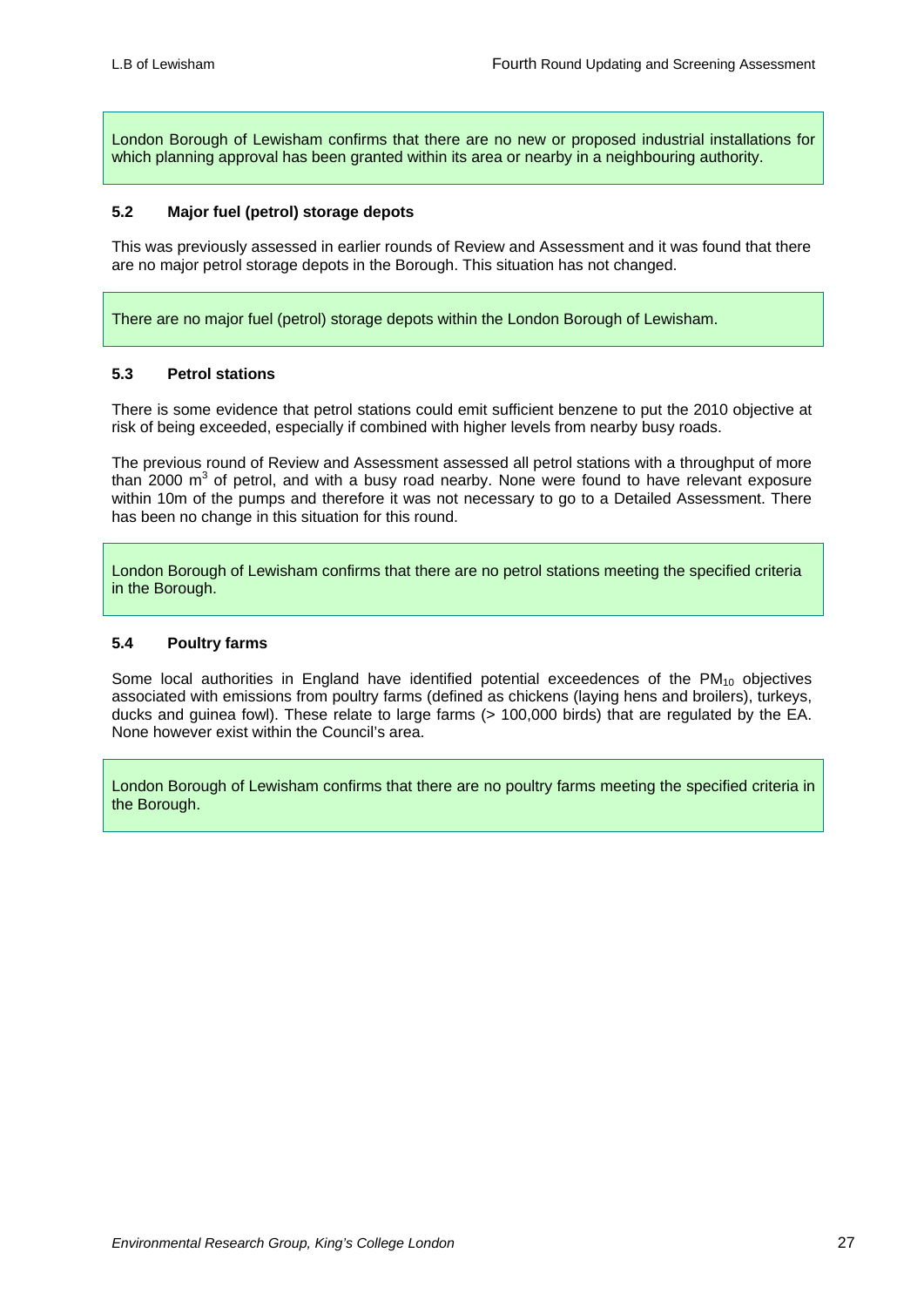London Borough of Lewisham confirms that there are no new or proposed industrial installations for which planning approval has been granted within its area or nearby in a neighbouring authority.

#### **5.2 Major fuel (petrol) storage depots**

This was previously assessed in earlier rounds of Review and Assessment and it was found that there are no major petrol storage depots in the Borough. This situation has not changed.

There are no major fuel (petrol) storage depots within the London Borough of Lewisham.

#### **5.3 Petrol stations**

There is some evidence that petrol stations could emit sufficient benzene to put the 2010 objective at risk of being exceeded, especially if combined with higher levels from nearby busy roads.

The previous round of Review and Assessment assessed all petrol stations with a throughput of more than 2000 m<sup>3</sup> of petrol, and with a busy road nearby. None were found to have relevant exposure within 10m of the pumps and therefore it was not necessary to go to a Detailed Assessment. There has been no change in this situation for this round.

London Borough of Lewisham confirms that there are no petrol stations meeting the specified criteria in the Borough.

#### **5.4 Poultry farms**

Some local authorities in England have identified potential exceedences of the  $PM_{10}$  objectives associated with emissions from poultry farms (defined as chickens (laying hens and broilers), turkeys, ducks and guinea fowl). These relate to large farms (> 100,000 birds) that are regulated by the EA. None however exist within the Council's area.

London Borough of Lewisham confirms that there are no poultry farms meeting the specified criteria in the Borough.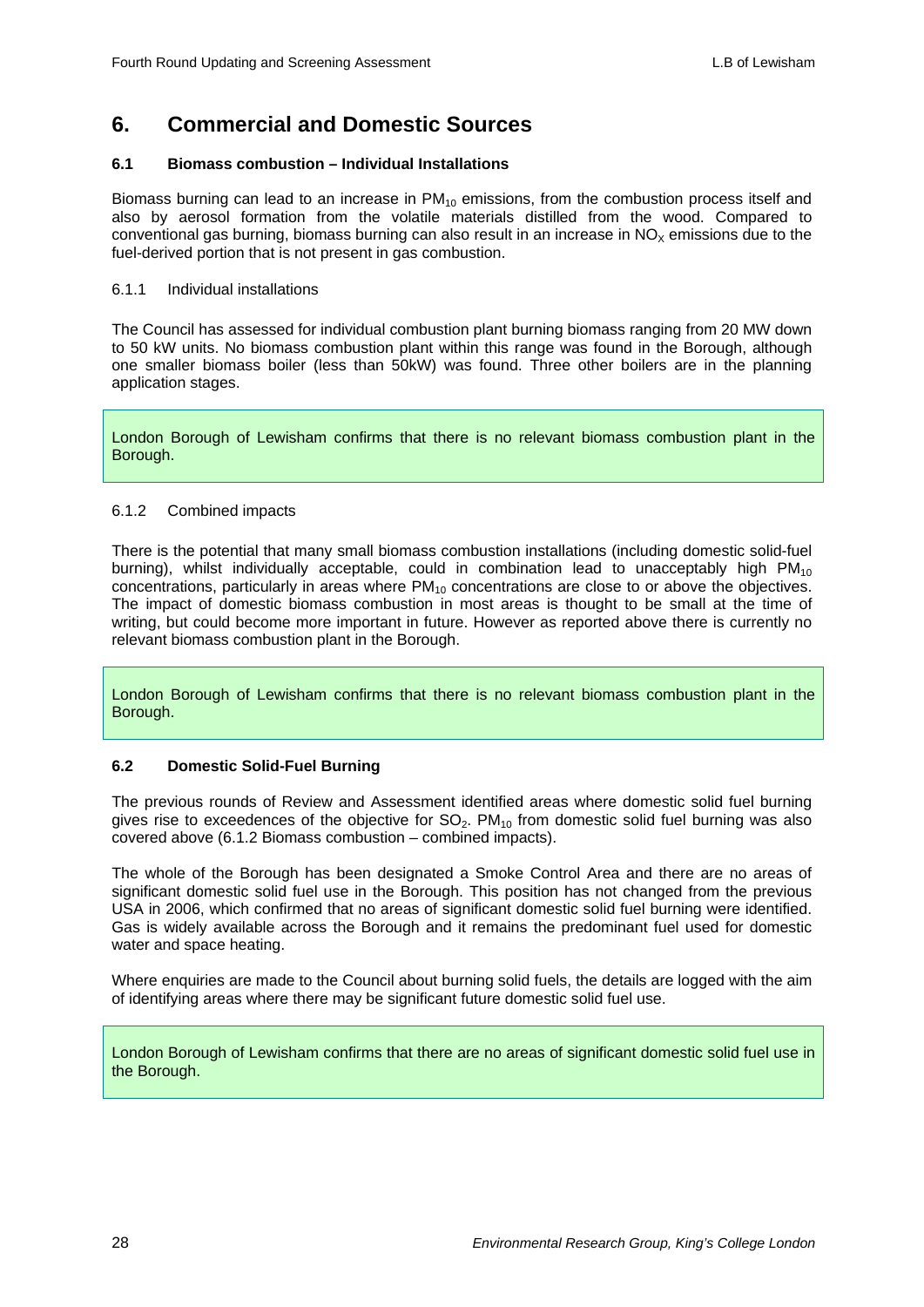### **6. Commercial and Domestic Sources**

#### **6.1 Biomass combustion – Individual Installations**

Biomass burning can lead to an increase in  $PM_{10}$  emissions, from the combustion process itself and also by aerosol formation from the volatile materials distilled from the wood. Compared to conventional gas burning, biomass burning can also result in an increase in  $NO<sub>x</sub>$  emissions due to the fuel-derived portion that is not present in gas combustion.

#### 6.1.1 Individual installations

The Council has assessed for individual combustion plant burning biomass ranging from 20 MW down to 50 kW units. No biomass combustion plant within this range was found in the Borough, although one smaller biomass boiler (less than 50kW) was found. Three other boilers are in the planning application stages.

London Borough of Lewisham confirms that there is no relevant biomass combustion plant in the Borough.

#### 6.1.2 Combined impacts

relevant biomass combustion plant in the Borough. There is the potential that many small biomass combustion installations (including domestic solid-fuel burning), whilst individually acceptable, could in combination lead to unacceptably high  $PM_{10}$ concentrations, particularly in areas where  $PM_{10}$  concentrations are close to or above the objectives. The impact of domestic biomass combustion in most areas is thought to be small at the time of writing, but could become more important in future. However as reported above there is currently no

London Borough of Lewisham confirms that there is no relevant biomass combustion plant in the Borough.

#### **6.2 Domestic Solid-Fuel Burning**

The previous rounds of Review and Assessment identified areas where domestic solid fuel burning gives rise to exceedences of the objective for  $SO_2$ . PM<sub>10</sub> from domestic solid fuel burning was also covered above (6.1.2 Biomass combustion – combined impacts).

The whole of the Borough has been designated a Smoke Control Area and there are no areas of significant domestic solid fuel use in the Borough. This position has not changed from the previous USA in 2006, which confirmed that no areas of significant domestic solid fuel burning were identified. Gas is widely available across the Borough and it remains the predominant fuel used for domestic water and space heating.

of identifying areas where there may be significant future domestic solid fuel use. Where enquiries are made to the Council about burning solid fuels, the details are logged with the aim

 of identifying areas where there may be significant future domestic solid fuel use. London Borough of Lewisham confirms that there are no areas of significant domestic solid fuel use in the Borough.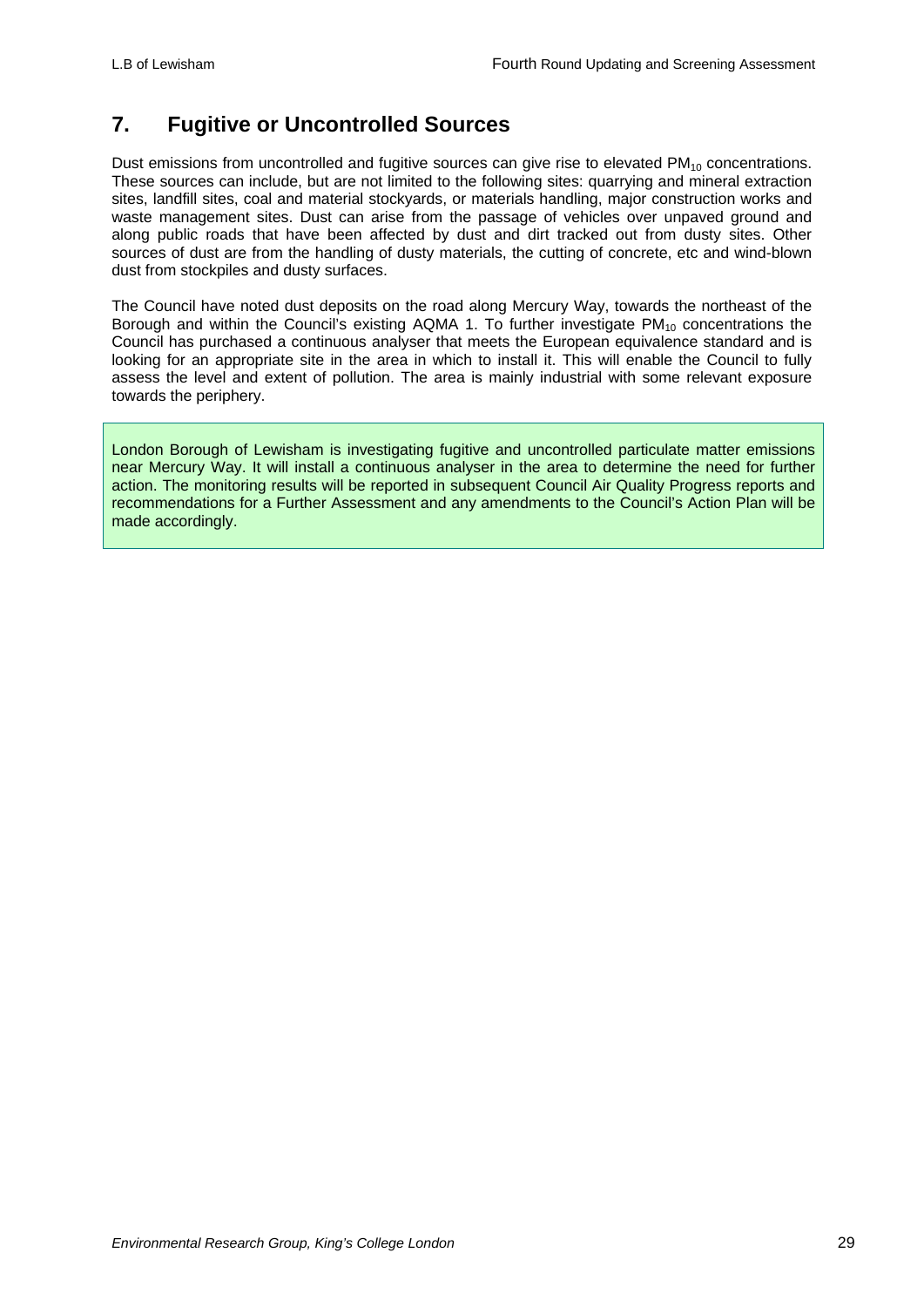## **7. Fugitive or Uncontrolled Sources**

Dust emissions from uncontrolled and fugitive sources can give rise to elevated  $PM_{10}$  concentrations. These sources can include, but are not limited to the following sites: quarrying and mineral extraction sites, landfill sites, coal and material stockyards, or materials handling, major construction works and waste management sites. Dust can arise from the passage of vehicles over unpaved ground and along public roads that have been affected by dust and dirt tracked out from dusty sites. Other sources of dust are from the handling of dusty materials, the cutting of concrete, etc and wind-blown dust from stockpiles and dusty surfaces.

The Council have noted dust deposits on the road along Mercury Way, towards the northeast of the Borough and within the Council's existing AQMA 1. To further investigate  $PM_{10}$  concentrations the Council has purchased a continuous analyser that meets the European equivalence standard and is looking for an appropriate site in the area in which to install it. This will enable the Council to fully assess the level and extent of pollution. The area is mainly industrial with some relevant exposure towards the periphery.

London Borough of Lewisham is investigating fugitive and uncontrolled particulate matter emissions near Mercury Way. It will install a continuous analyser in the area to determine the need for further action. The monitoring results will be reported in subsequent Council Air Quality Progress reports and recommendations for a Further Assessment and any amendments to the Council's Action Plan will be made accordingly.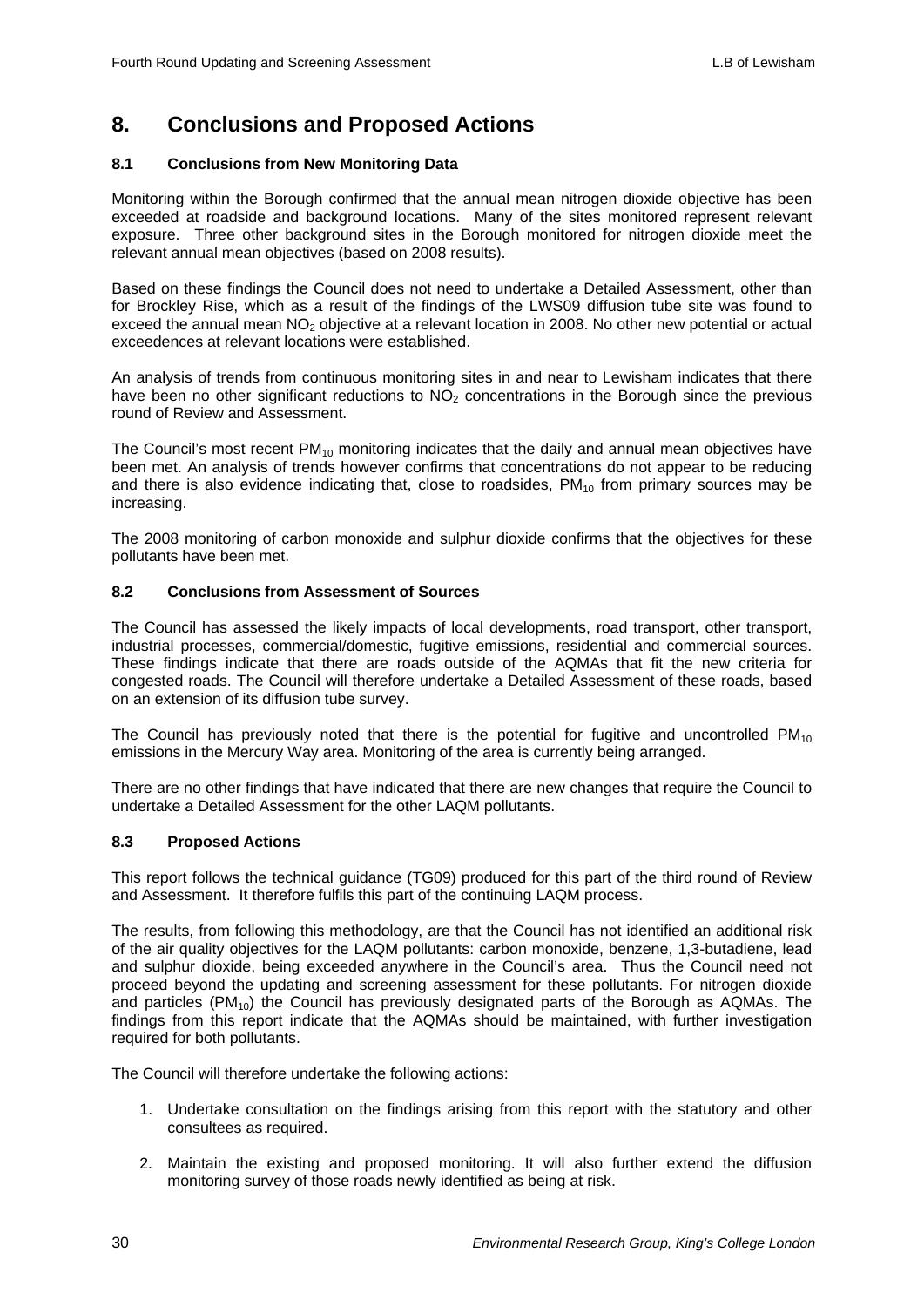## **8. Conclusions and Proposed Actions**

#### **8.1 Conclusions from New Monitoring Data**

Monitoring within the Borough confirmed that the annual mean nitrogen dioxide objective has been exceeded at roadside and background locations. Many of the sites monitored represent relevant exposure. Three other background sites in the Borough monitored for nitrogen dioxide meet the relevant annual mean objectives (based on 2008 results).

Based on these findings the Council does not need to undertake a Detailed Assessment, other than for Brockley Rise, which as a result of the findings of the LWS09 diffusion tube site was found to exceed the annual mean NO<sub>2</sub> objective at a relevant location in 2008. No other new potential or actual exceedences at relevant locations were established.

An analysis of trends from continuous monitoring sites in and near to Lewisham indicates that there have been no other significant reductions to  $NO<sub>2</sub>$  concentrations in the Borough since the previous round of Review and Assessment.

The Council's most recent  $PM_{10}$  monitoring indicates that the daily and annual mean objectives have been met. An analysis of trends however confirms that concentrations do not appear to be reducing and there is also evidence indicating that, close to roadsides,  $PM_{10}$  from primary sources may be increasing.

The 2008 monitoring of carbon monoxide and sulphur dioxide confirms that the objectives for these pollutants have been met.

#### **8.2 Conclusions from Assessment of Sources**

The Council has assessed the likely impacts of local developments, road transport, other transport, industrial processes, commercial/domestic, fugitive emissions, residential and commercial sources. These findings indicate that there are roads outside of the AQMAs that fit the new criteria for congested roads. The Council will therefore undertake a Detailed Assessment of these roads, based on an extension of its diffusion tube survey.

The Council has previously noted that there is the potential for fugitive and uncontrolled  $PM_{10}$ emissions in the Mercury Way area. Monitoring of the area is currently being arranged.

There are no other findings that have indicated that there are new changes that require the Council to undertake a Detailed Assessment for the other LAQM pollutants.

#### **8.3 Proposed Actions**

This report follows the technical guidance (TG09) produced for this part of the third round of Review and Assessment. It therefore fulfils this part of the continuing LAQM process.

The results, from following this methodology, are that the Council has not identified an additional risk of the air quality objectives for the LAQM pollutants: carbon monoxide, benzene, 1,3-butadiene, lead and sulphur dioxide, being exceeded anywhere in the Council's area. Thus the Council need not proceed beyond the updating and screening assessment for these pollutants. For nitrogen dioxide and particles (PM<sub>10</sub>) the Council has previously designated parts of the Borough as AQMAs. The findings from this report indicate that the AQMAs should be maintained, with further investigation required for both pollutants.

The Council will therefore undertake the following actions:

- 1. Undertake consultation on the findings arising from this report with the statutory and other consultees as required.
- 2. Maintain the existing and proposed monitoring. It will also further extend the diffusion monitoring survey of those roads newly identified as being at risk.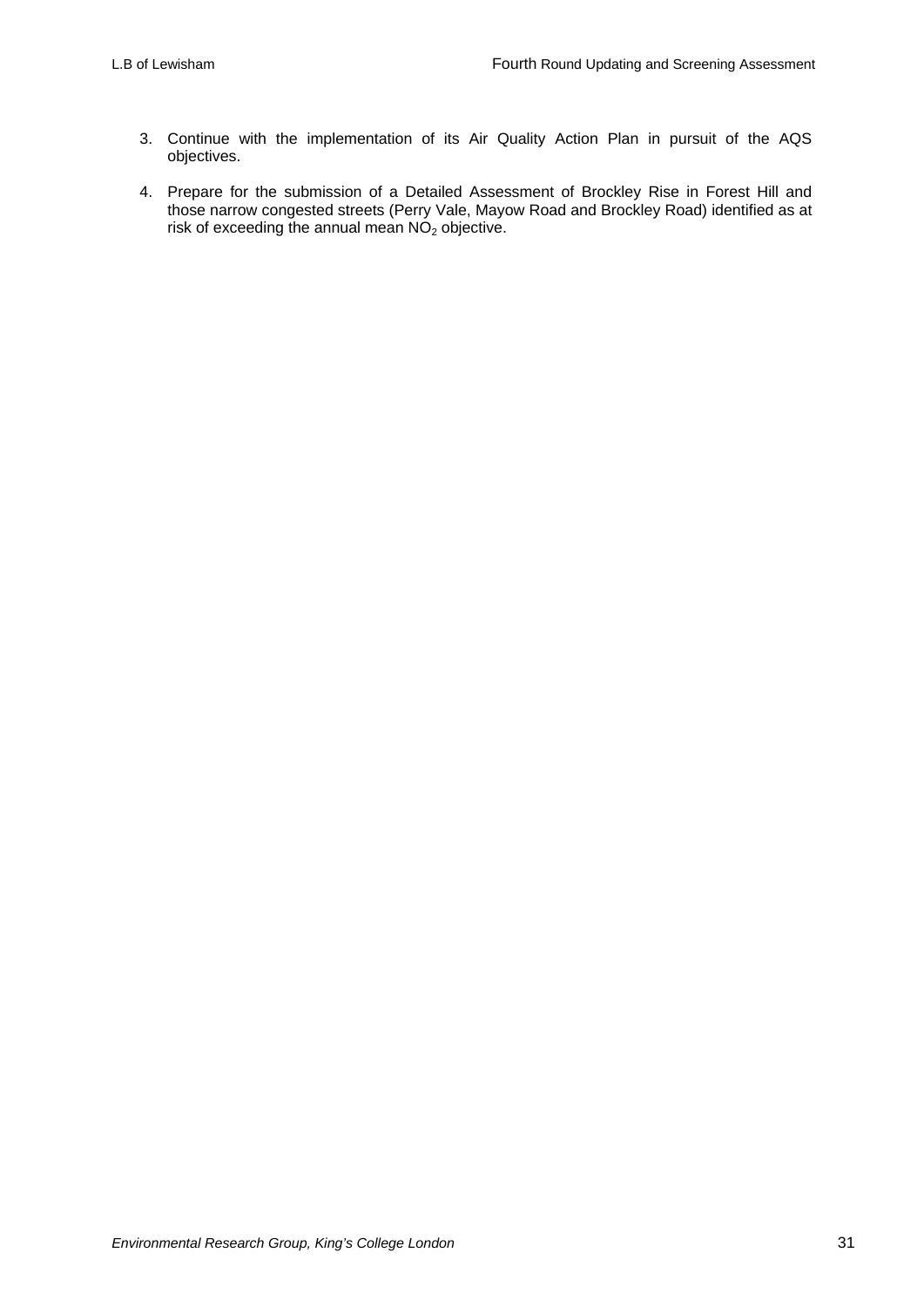- 3. Continue with the implementation of its Air Quality Action Plan in pursuit of the AQS objectives.
- 4. Prepare for the submission of a Detailed Assessment of Brockley Rise in Forest Hill and those narrow congested streets (Perry Vale, Mayow Road and Brockley Road) identified as at risk of exceeding the annual mean  $NO<sub>2</sub>$  objective.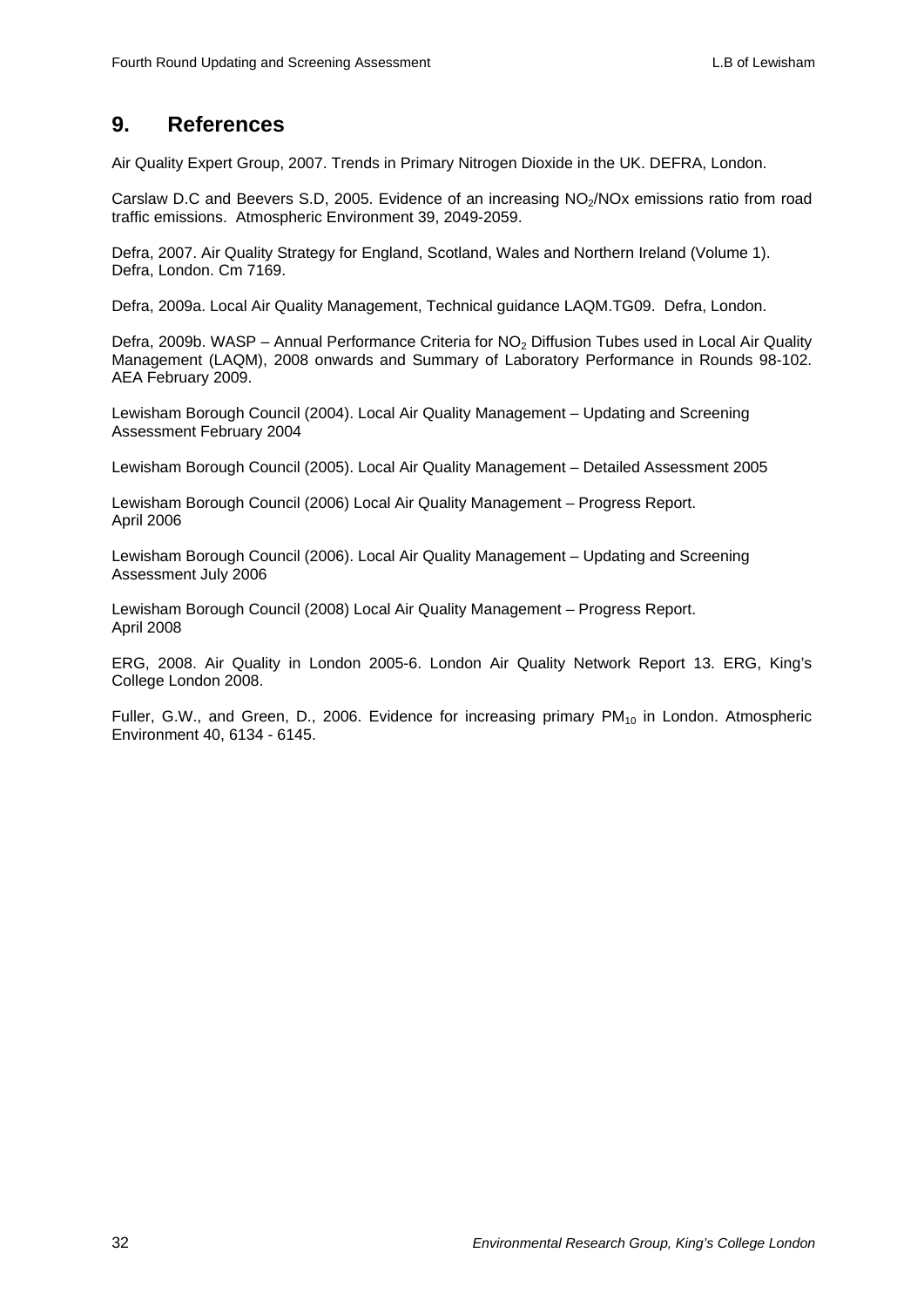### **9. References**

Air Quality Expert Group, 2007. Trends in Primary Nitrogen Dioxide in the UK. DEFRA, London.

Carslaw D.C and Beevers S.D, 2005. Evidence of an increasing  $NO<sub>2</sub>/NOx$  emissions ratio from road traffic emissions. Atmospheric Environment 39, 2049-2059.

Defra, 2007. Air Quality Strategy for England, Scotland, Wales and Northern Ireland (Volume 1). Defra, London. Cm 7169.

Defra, 2009a. Local Air Quality Management, Technical guidance LAQM.TG09. Defra, London.

Defra, 2009b. WASP – Annual Performance Criteria for  $NO<sub>2</sub>$  Diffusion Tubes used in Local Air Quality Management (LAQM), 2008 onwards and Summary of Laboratory Performance in Rounds 98-102. AEA February 2009.

Lewisham Borough Council (2004). Local Air Quality Management – Updating and Screening Assessment February 2004

Lewisham Borough Council (2005). Local Air Quality Management – Detailed Assessment 2005

Lewisham Borough Council (2006) Local Air Quality Management – Progress Report. April 2006

Lewisham Borough Council (2006). Local Air Quality Management – Updating and Screening Assessment July 2006

Lewisham Borough Council (2008) Local Air Quality Management – Progress Report. April 2008

ERG, 2008. Air Quality in London 2005-6. London Air Quality Network Report 13. ERG, King's College London 2008.

Fuller, G.W., and Green, D., 2006. Evidence for increasing primary  $PM_{10}$  in London. Atmospheric Environment 40, 6134 - 6145.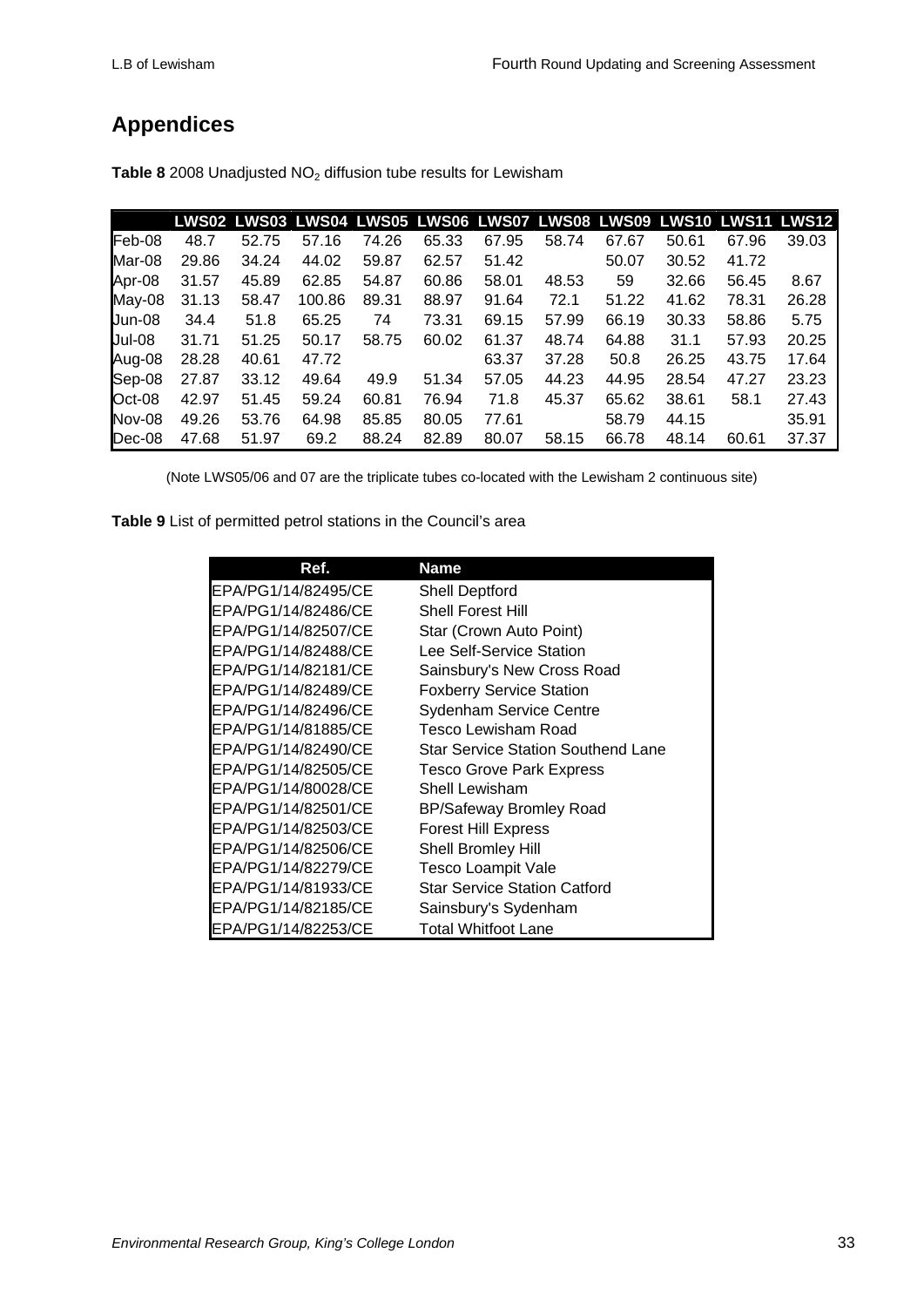# **Appendices**

|        |       |       |        | LWS02 LWS03 LWS04 LWS05 LWS06 LWS07 LWS08 LWS09 LWS10 LWS11 LWS12 |       |       |       |       |       |       |       |
|--------|-------|-------|--------|-------------------------------------------------------------------|-------|-------|-------|-------|-------|-------|-------|
| Feb-08 | 48.7  | 52.75 | 57.16  | 74.26                                                             | 65.33 | 67.95 | 58.74 | 67.67 | 50.61 | 67.96 | 39.03 |
| Mar-08 | 29.86 | 34.24 | 44.02  | 59.87                                                             | 62.57 | 51.42 |       | 50.07 | 30.52 | 41.72 |       |
| Apr-08 | 31.57 | 45.89 | 62.85  | 54.87                                                             | 60.86 | 58.01 | 48.53 | 59    | 32.66 | 56.45 | 8.67  |
| May-08 | 31.13 | 58.47 | 100.86 | 89.31                                                             | 88.97 | 91.64 | 72.1  | 51.22 | 41.62 | 78.31 | 26.28 |
| Jun-08 | 34.4  | 51.8  | 65.25  | 74                                                                | 73.31 | 69.15 | 57.99 | 66.19 | 30.33 | 58.86 | 5.75  |
| Jul-08 | 31.71 | 51.25 | 50.17  | 58.75                                                             | 60.02 | 61.37 | 48.74 | 64.88 | 31.1  | 57.93 | 20.25 |
| Aug-08 | 28.28 | 40.61 | 47.72  |                                                                   |       | 63.37 | 37.28 | 50.8  | 26.25 | 43.75 | 17.64 |
| Sep-08 | 27.87 | 33.12 | 49.64  | 49.9                                                              | 51.34 | 57.05 | 44.23 | 44.95 | 28.54 | 47.27 | 23.23 |
| Oct-08 | 42.97 | 51.45 | 59.24  | 60.81                                                             | 76.94 | 71.8  | 45.37 | 65.62 | 38.61 | 58.1  | 27.43 |
| Nov-08 | 49.26 | 53.76 | 64.98  | 85.85                                                             | 80.05 | 77.61 |       | 58.79 | 44.15 |       | 35.91 |
| Dec-08 | 47.68 | 51.97 | 69.2   | 88.24                                                             | 82.89 | 80.07 | 58.15 | 66.78 | 48.14 | 60.61 | 37.37 |

Table 8 2008 Unadjusted NO<sub>2</sub> diffusion tube results for Lewisham

(Note LWS05/06 and 07 are the triplicate tubes co-located with the Lewisham 2 continuous site)

**Table 9** List of permitted petrol stations in the Council's area

| Ref.                | Name                                |
|---------------------|-------------------------------------|
| EPA/PG1/14/82495/CE | Shell Deptford                      |
| EPA/PG1/14/82486/CE | <b>Shell Forest Hill</b>            |
| EPA/PG1/14/82507/CE | Star (Crown Auto Point)             |
| EPA/PG1/14/82488/CE | Lee Self-Service Station            |
| EPA/PG1/14/82181/CE | Sainsbury's New Cross Road          |
| EPA/PG1/14/82489/CE | <b>Foxberry Service Station</b>     |
| EPA/PG1/14/82496/CE | <b>Sydenham Service Centre</b>      |
| EPA/PG1/14/81885/CE | Tesco Lewisham Road                 |
| EPA/PG1/14/82490/CE | Star Service Station Southend Lane  |
| EPA/PG1/14/82505/CE | <b>Tesco Grove Park Express</b>     |
| EPA/PG1/14/80028/CE | Shell Lewisham                      |
| EPA/PG1/14/82501/CE | BP/Safeway Bromley Road             |
| EPA/PG1/14/82503/CE | <b>Forest Hill Express</b>          |
| EPA/PG1/14/82506/CE | <b>Shell Bromley Hill</b>           |
| EPA/PG1/14/82279/CE | <b>Tesco Loampit Vale</b>           |
| EPA/PG1/14/81933/CE | <b>Star Service Station Catford</b> |
| EPA/PG1/14/82185/CE | Sainsbury's Sydenham                |
| EPA/PG1/14/82253/CE | Total Whitfoot Lane                 |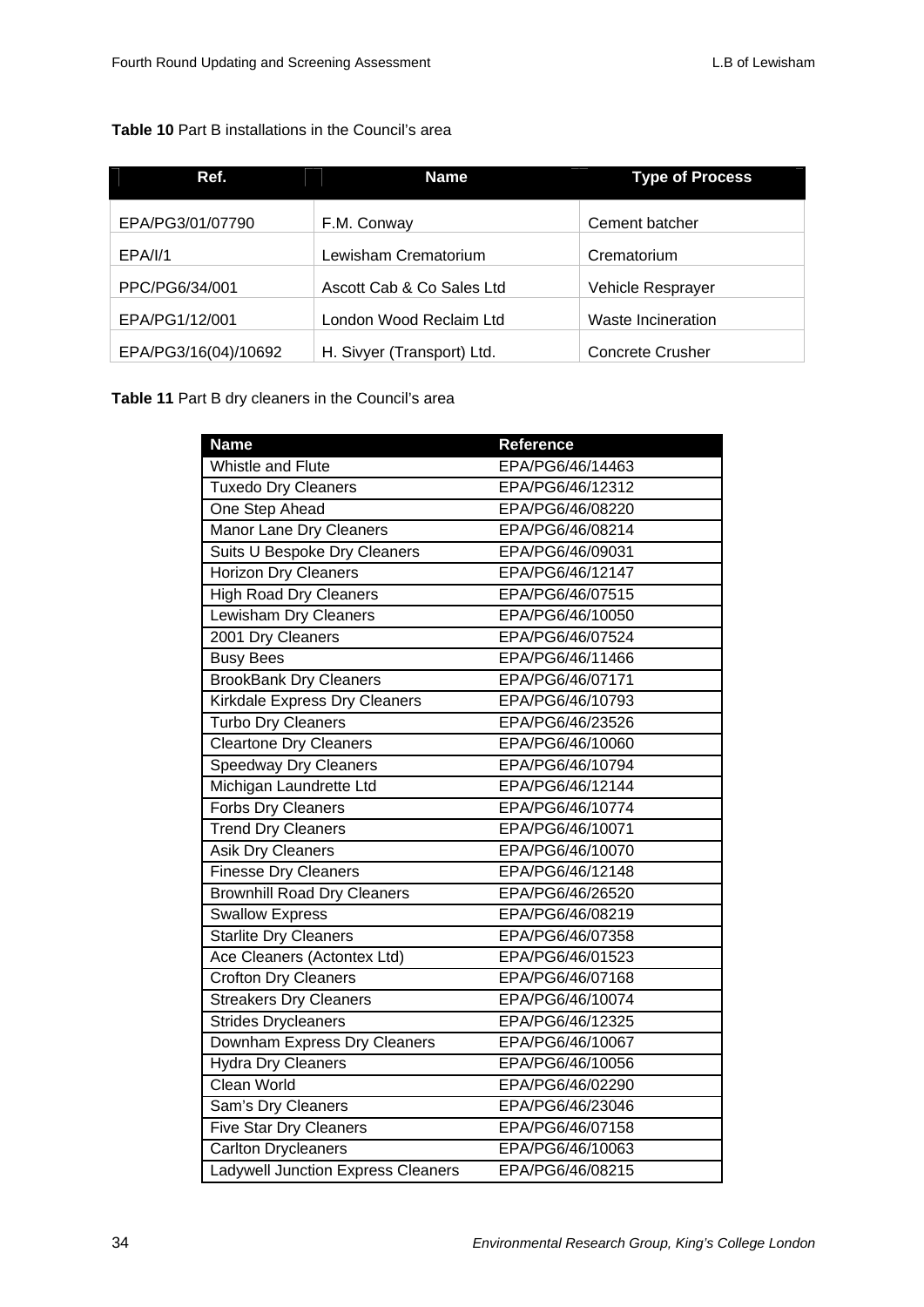#### **Table 10** Part B installations in the Council's area

| Ref.                 | <b>Name</b>                | <b>Type of Process</b>  |
|----------------------|----------------------------|-------------------------|
| EPA/PG3/01/07790     | F.M. Conway                | Cement batcher          |
| EPA/I/1              | Lewisham Crematorium       | Crematorium             |
| PPC/PG6/34/001       | Ascott Cab & Co Sales Ltd  | Vehicle Resprayer       |
| EPA/PG1/12/001       | London Wood Reclaim Ltd    | Waste Incineration      |
| EPA/PG3/16(04)/10692 | H. Sivyer (Transport) Ltd. | <b>Concrete Crusher</b> |

#### **Table 11** Part B dry cleaners in the Council's area

| <b>Name</b>                        | <b>Reference</b> |
|------------------------------------|------------------|
| <b>Whistle and Flute</b>           | EPA/PG6/46/14463 |
| <b>Tuxedo Dry Cleaners</b>         | EPA/PG6/46/12312 |
| One Step Ahead                     | EPA/PG6/46/08220 |
| Manor Lane Dry Cleaners            | EPA/PG6/46/08214 |
| Suits U Bespoke Dry Cleaners       | EPA/PG6/46/09031 |
| Horizon Dry Cleaners               | EPA/PG6/46/12147 |
| <b>High Road Dry Cleaners</b>      | EPA/PG6/46/07515 |
| <b>Lewisham Dry Cleaners</b>       | EPA/PG6/46/10050 |
| 2001 Dry Cleaners                  | EPA/PG6/46/07524 |
| <b>Busy Bees</b>                   | EPA/PG6/46/11466 |
| <b>BrookBank Dry Cleaners</b>      | EPA/PG6/46/07171 |
| Kirkdale Express Dry Cleaners      | EPA/PG6/46/10793 |
| <b>Turbo Dry Cleaners</b>          | EPA/PG6/46/23526 |
| <b>Cleartone Dry Cleaners</b>      | EPA/PG6/46/10060 |
| <b>Speedway Dry Cleaners</b>       | EPA/PG6/46/10794 |
| Michigan Laundrette Ltd            | EPA/PG6/46/12144 |
| Forbs Dry Cleaners                 | EPA/PG6/46/10774 |
| <b>Trend Dry Cleaners</b>          | EPA/PG6/46/10071 |
| <b>Asik Dry Cleaners</b>           | EPA/PG6/46/10070 |
| <b>Finesse Dry Cleaners</b>        | EPA/PG6/46/12148 |
| <b>Brownhill Road Dry Cleaners</b> | EPA/PG6/46/26520 |
| <b>Swallow Express</b>             | EPA/PG6/46/08219 |
| <b>Starlite Dry Cleaners</b>       | EPA/PG6/46/07358 |
| Ace Cleaners (Actontex Ltd)        | EPA/PG6/46/01523 |
| <b>Crofton Dry Cleaners</b>        | EPA/PG6/46/07168 |
| <b>Streakers Dry Cleaners</b>      | EPA/PG6/46/10074 |
| <b>Strides Drycleaners</b>         | EPA/PG6/46/12325 |
| Downham Express Dry Cleaners       | EPA/PG6/46/10067 |
| <b>Hydra Dry Cleaners</b>          | EPA/PG6/46/10056 |
| Clean World                        | EPA/PG6/46/02290 |
| Sam's Dry Cleaners                 | EPA/PG6/46/23046 |
| <b>Five Star Dry Cleaners</b>      | EPA/PG6/46/07158 |
| <b>Carlton Drycleaners</b>         | EPA/PG6/46/10063 |
| Ladywell Junction Express Cleaners | EPA/PG6/46/08215 |